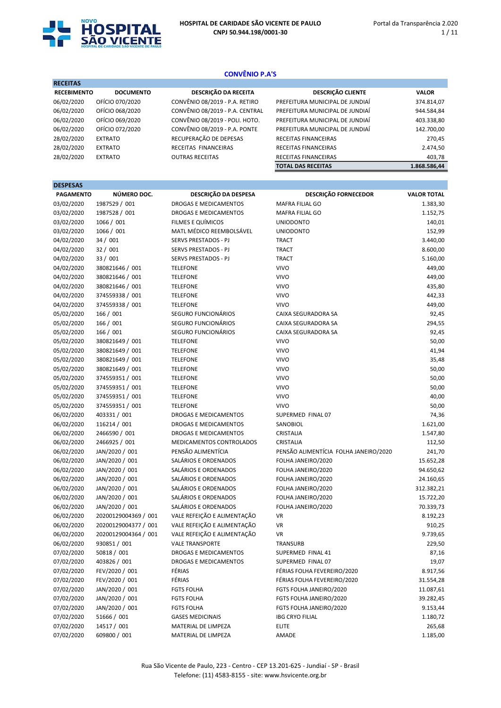

DESPESAS

# CONVÊNIO P.A'S

| <b>RECEITAS</b>    |                  |                                 |                                 |              |
|--------------------|------------------|---------------------------------|---------------------------------|--------------|
| <b>RECEBIMENTO</b> | <b>DOCUMENTO</b> | DESCRIÇÃO DA RECEITA            | <b>DESCRIÇÃO CLIENTE</b>        | <b>VALOR</b> |
| 06/02/2020         | OFÍCIO 070/2020  | CONVÊNIO 08/2019 - P.A. RETIRO  | PREFEITURA MUNICIPAL DE JUNDIAÍ | 374.814,07   |
| 06/02/2020         | OFÍCIO 068/2020  | CONVÊNIO 08/2019 - P.A. CENTRAL | PREFEITURA MUNICIPAL DE JUNDIAÍ | 944.584,84   |
| 06/02/2020         | OFÍCIO 069/2020  | CONVÊNIO 08/2019 - POLI. HOTO.  | PREFEITURA MUNICIPAL DE JUNDIAÍ | 403.338,80   |
| 06/02/2020         | OFÍCIO 072/2020  | CONVÊNIO 08/2019 - P.A. PONTE   | PREFEITURA MUNICIPAL DE JUNDIAÍ | 142.700,00   |
| 28/02/2020         | <b>EXTRATO</b>   | RECUPERAÇÃO DE DEPESAS          | RECEITAS FINANCEIRAS            | 270,45       |
| 28/02/2020         | <b>EXTRATO</b>   | RECEITAS FINANCEIRAS            | RECEITAS FINANCEIRAS            | 2.474,50     |
| 28/02/2020         | <b>EXTRATO</b>   | <b>OUTRAS RECEITAS</b>          | RECEITAS FINANCEIRAS            | 403,78       |
|                    |                  |                                 | <b>TOTAL DAS RECEITAS</b>       | 1.868.586,44 |
|                    |                  |                                 |                                 |              |

| <b>DESPESAS</b>  |                      |                              |                                       |                    |
|------------------|----------------------|------------------------------|---------------------------------------|--------------------|
| <b>PAGAMENTO</b> | NÚMERO DOC.          | DESCRIÇÃO DA DESPESA         | <b>DESCRIÇÃO FORNECEDOR</b>           | <b>VALOR TOTAL</b> |
| 03/02/2020       | 1987529 / 001        | <b>DROGAS E MEDICAMENTOS</b> | MAFRA FILIAL GO                       | 1.383,30           |
| 03/02/2020       | 1987528 / 001        | DROGAS E MEDICAMENTOS        | MAFRA FILIAL GO                       | 1.152,75           |
| 03/02/2020       | 1066 / 001           | FILMES E QUÍMICOS            | <b>UNIODONTO</b>                      | 140,01             |
| 03/02/2020       | 1066 / 001           | MATL MÉDICO REEMBOLSÁVEL     | <b>UNIODONTO</b>                      | 152,99             |
| 04/02/2020       | 34 / 001             | <b>SERVS PRESTADOS - PJ</b>  | <b>TRACT</b>                          | 3.440,00           |
| 04/02/2020       | 32 / 001             | SERVS PRESTADOS - PJ         | <b>TRACT</b>                          | 8.600,00           |
| 04/02/2020       | 33 / 001             | SERVS PRESTADOS - PJ         | <b>TRACT</b>                          | 5.160,00           |
| 04/02/2020       | 380821646 / 001      | <b>TELEFONE</b>              | <b>VIVO</b>                           | 449,00             |
| 04/02/2020       | 380821646 / 001      | <b>TELEFONE</b>              | <b>VIVO</b>                           | 449,00             |
| 04/02/2020       | 380821646 / 001      | <b>TELEFONE</b>              | <b>VIVO</b>                           | 435,80             |
| 04/02/2020       | 374559338 / 001      | <b>TELEFONE</b>              | <b>VIVO</b>                           | 442,33             |
| 04/02/2020       | 374559338 / 001      | <b>TELEFONE</b>              | <b>VIVO</b>                           | 449,00             |
| 05/02/2020       | 166 / 001            | SEGURO FUNCIONÁRIOS          | CAIXA SEGURADORA SA                   | 92,45              |
| 05/02/2020       | 166 / 001            | SEGURO FUNCIONÁRIOS          | CAIXA SEGURADORA SA                   | 294,55             |
| 05/02/2020       | 166 / 001            | SEGURO FUNCIONÁRIOS          | CAIXA SEGURADORA SA                   | 92,45              |
| 05/02/2020       | 380821649 / 001      | <b>TELEFONE</b>              | <b>VIVO</b>                           | 50,00              |
| 05/02/2020       | 380821649 / 001      | <b>TELEFONE</b>              | <b>VIVO</b>                           | 41,94              |
| 05/02/2020       | 380821649 / 001      | <b>TELEFONE</b>              | <b>VIVO</b>                           | 35,48              |
| 05/02/2020       | 380821649 / 001      | <b>TELEFONE</b>              | <b>VIVO</b>                           | 50,00              |
| 05/02/2020       | 374559351 / 001      | <b>TELEFONE</b>              | <b>VIVO</b>                           | 50,00              |
| 05/02/2020       | 374559351 / 001      | <b>TELEFONE</b>              | <b>VIVO</b>                           | 50,00              |
| 05/02/2020       | 374559351 / 001      | <b>TELEFONE</b>              | <b>VIVO</b>                           | 40,00              |
| 05/02/2020       | 374559351 / 001      | <b>TELEFONE</b>              | <b>VIVO</b>                           | 50,00              |
| 06/02/2020       | 403331 / 001         | DROGAS E MEDICAMENTOS        | SUPERMED FINAL 07                     | 74,36              |
| 06/02/2020       | 116214 / 001         | DROGAS E MEDICAMENTOS        | SANOBIOL                              | 1.621,00           |
| 06/02/2020       | 2466590 / 001        | DROGAS E MEDICAMENTOS        | CRISTALIA                             | 1.547,80           |
| 06/02/2020       | 2466925 / 001        | MEDICAMENTOS CONTROLADOS     | CRISTALIA                             | 112,50             |
| 06/02/2020       | JAN/2020 / 001       | PENSÃO ALIMENTÍCIA           | PENSÃO ALIMENTÍCIA FOLHA JANEIRO/2020 | 241,70             |
| 06/02/2020       | JAN/2020 / 001       | SALÁRIOS E ORDENADOS         | FOLHA JANEIRO/2020                    | 15.652,28          |
| 06/02/2020       | JAN/2020 / 001       | SALÁRIOS E ORDENADOS         | FOLHA JANEIRO/2020                    | 94.650,62          |
| 06/02/2020       | JAN/2020 / 001       | SALÁRIOS E ORDENADOS         | FOLHA JANEIRO/2020                    | 24.160,65          |
| 06/02/2020       | JAN/2020 / 001       | SALÁRIOS E ORDENADOS         | FOLHA JANEIRO/2020                    | 312.382,21         |
| 06/02/2020       | JAN/2020 / 001       | SALÁRIOS E ORDENADOS         | FOLHA JANEIRO/2020                    | 15.722,20          |
| 06/02/2020       | JAN/2020 / 001       | SALÁRIOS E ORDENADOS         | FOLHA JANEIRO/2020                    | 70.339,73          |
| 06/02/2020       | 20200129004369 / 001 | VALE REFEIÇÃO E ALIMENTAÇÃO  | VR                                    | 8.192,23           |
| 06/02/2020       | 20200129004377 / 001 | VALE REFEIÇÃO E ALIMENTAÇÃO  | <b>VR</b>                             | 910,25             |
| 06/02/2020       | 20200129004364 / 001 | VALE REFEIÇÃO E ALIMENTAÇÃO  | VR                                    | 9.739,65           |
| 06/02/2020       | 930851 / 001         | <b>VALE TRANSPORTE</b>       | <b>TRANSURB</b>                       | 229,50             |
| 07/02/2020       | 50818 / 001          | DROGAS E MEDICAMENTOS        | SUPERMED FINAL 41                     | 87,16              |
| 07/02/2020       | 403826/001           | DROGAS E MEDICAMENTOS        | SUPERMED FINAL 07                     | 19,07              |
| 07/02/2020       | FEV/2020 / 001       | FÉRIAS                       | FÉRIAS FOLHA FEVEREIRO/2020           | 8.917,56           |
| 07/02/2020       | FEV/2020 / 001       | FÉRIAS                       | FÉRIAS FOLHA FEVEREIRO/2020           | 31.554,28          |
| 07/02/2020       | JAN/2020 / 001       | <b>FGTS FOLHA</b>            | FGTS FOLHA JANEIRO/2020               | 11.087,61          |
| 07/02/2020       | JAN/2020 / 001       | <b>FGTS FOLHA</b>            | FGTS FOLHA JANEIRO/2020               | 39.282,45          |
| 07/02/2020       | JAN/2020 / 001       | <b>FGTS FOLHA</b>            | FGTS FOLHA JANEIRO/2020               | 9.153,44           |
| 07/02/2020       | 51666 / 001          | <b>GASES MEDICINAIS</b>      | <b>IBG CRYO FILIAL</b>                | 1.180,72           |
| 07/02/2020       | 14517 / 001          | MATERIAL DE LIMPEZA          | ELITE                                 | 265,68             |
| 07/02/2020       | 609800 / 001         | MATERIAL DE LIMPEZA          | AMADE                                 | 1.185,00           |
|                  |                      |                              |                                       |                    |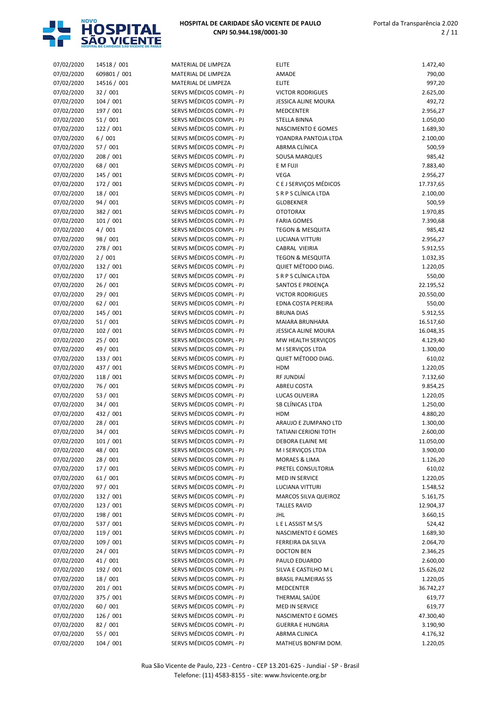

| 07/02/2020 | 14518 / 001  | MATERIAL DE LIMPEZA      | <b>ELITE</b>                | 1.472,40  |
|------------|--------------|--------------------------|-----------------------------|-----------|
| 07/02/2020 | 609801 / 001 | MATERIAL DE LIMPEZA      | AMADE                       | 790,00    |
| 07/02/2020 | 14516 / 001  | MATERIAL DE LIMPEZA      | <b>ELITE</b>                | 997,20    |
| 07/02/2020 | 32 / 001     | SERVS MÉDICOS COMPL - PJ | <b>VICTOR RODRIGUES</b>     | 2.625,00  |
| 07/02/2020 | 104/001      | SERVS MÉDICOS COMPL - PJ | <b>JESSICA ALINE MOURA</b>  | 492,72    |
| 07/02/2020 | 197 / 001    | SERVS MÉDICOS COMPL - PJ | <b>MEDCENTER</b>            | 2.956,27  |
| 07/02/2020 | 51/001       | SERVS MÉDICOS COMPL - PJ | <b>STELLA BINNA</b>         | 1.050,00  |
| 07/02/2020 | 122 / 001    | SERVS MÉDICOS COMPL - PJ | NASCIMENTO E GOMES          | 1.689,30  |
| 07/02/2020 | 6/001        | SERVS MÉDICOS COMPL - PJ | YOANDRA PANTOJA LTDA        | 2.100,00  |
| 07/02/2020 | 57 / 001     | SERVS MÉDICOS COMPL - PJ | ABRMA CLÍNICA               | 500,59    |
| 07/02/2020 | 208 / 001    | SERVS MÉDICOS COMPL - PJ | SOUSA MARQUES               | 985,42    |
| 07/02/2020 | 68 / 001     | SERVS MÉDICOS COMPL - PJ | E M FUJI                    | 7.883,40  |
| 07/02/2020 | 145 / 001    | SERVS MÉDICOS COMPL - PJ | VEGA                        | 2.956,27  |
| 07/02/2020 | 172 / 001    | SERVS MÉDICOS COMPL - PJ | C E J SERVIÇOS MÉDICOS      | 17.737,65 |
| 07/02/2020 | 18 / 001     | SERVS MÉDICOS COMPL - PJ | S R P S CLÍNICA LTDA        | 2.100,00  |
| 07/02/2020 | 94 / 001     | SERVS MÉDICOS COMPL - PJ | <b>GLOBEKNER</b>            | 500,59    |
| 07/02/2020 | 382 / 001    | SERVS MÉDICOS COMPL - PJ | <b>OTOTORAX</b>             | 1.970,85  |
| 07/02/2020 | 101 / 001    | SERVS MÉDICOS COMPL - PJ | <b>FARIA GOMES</b>          | 7.390,68  |
| 07/02/2020 | 4/001        | SERVS MÉDICOS COMPL - PJ | <b>TEGON &amp; MESQUITA</b> | 985,42    |
| 07/02/2020 | 98 / 001     | SERVS MÉDICOS COMPL - PJ | <b>LUCIANA VITTURI</b>      | 2.956,27  |
|            |              |                          |                             |           |
| 07/02/2020 | 278 / 001    | SERVS MÉDICOS COMPL - PJ | CABRAL VIEIRIA              | 5.912,55  |
| 07/02/2020 | 2/001        | SERVS MÉDICOS COMPL - PJ | <b>TEGON &amp; MESQUITA</b> | 1.032,35  |
| 07/02/2020 | 132 / 001    | SERVS MÉDICOS COMPL - PJ | QUIET MÉTODO DIAG.          | 1.220,05  |
| 07/02/2020 | 17 / 001     | SERVS MÉDICOS COMPL - PJ | S R P S CLÍNICA LTDA        | 550,00    |
| 07/02/2020 | 26 / 001     | SERVS MÉDICOS COMPL - PJ | SANTOS E PROENÇA            | 22.195,52 |
| 07/02/2020 | 29 / 001     | SERVS MÉDICOS COMPL - PJ | <b>VICTOR RODRIGUES</b>     | 20.550,00 |
| 07/02/2020 | 62/001       | SERVS MÉDICOS COMPL - PJ | EDNA COSTA PEREIRA          | 550,00    |
| 07/02/2020 | 145 / 001    | SERVS MÉDICOS COMPL - PJ | <b>BRUNA DIAS</b>           | 5.912,55  |
| 07/02/2020 | 51/001       | SERVS MÉDICOS COMPL - PJ | MAIARA BRUNHARA             | 16.517,60 |
| 07/02/2020 | 102 / 001    | SERVS MÉDICOS COMPL - PJ | JESSICA ALINE MOURA         | 16.048,35 |
| 07/02/2020 | 25/001       | SERVS MÉDICOS COMPL - PJ | MW HEALTH SERVIÇOS          | 4.129,40  |
| 07/02/2020 | 49 / 001     | SERVS MÉDICOS COMPL - PJ | M I SERVIÇOS LTDA           | 1.300,00  |
| 07/02/2020 | 133 / 001    | SERVS MÉDICOS COMPL - PJ | QUIET MÉTODO DIAG.          | 610,02    |
| 07/02/2020 | 437 / 001    | SERVS MÉDICOS COMPL - PJ | <b>HDM</b>                  | 1.220,05  |
| 07/02/2020 | 118 / 001    | SERVS MÉDICOS COMPL - PJ | RF JUNDIAÍ                  | 7.132,60  |
| 07/02/2020 | 76 / 001     | SERVS MÉDICOS COMPL - PJ | <b>ABREU COSTA</b>          | 9.854,25  |
| 07/02/2020 | 53 / 001     | SERVS MÉDICOS COMPL - PJ | LUCAS OLIVEIRA              | 1.220,05  |
| 07/02/2020 | 34 / 001     | SERVS MÉDICOS COMPL - PJ | SB CLÍNICAS LTDA            | 1.250,00  |
| 07/02/2020 | 432 / 001    | SERVS MÉDICOS COMPL - PJ | <b>HDM</b>                  | 4.880,20  |
| 07/02/2020 | 28 / 001     | SERVS MÉDICOS COMPL - PJ | ARAUJO E ZUMPANO LTD        | 1.300,00  |
| 07/02/2020 | 34 / 001     | SERVS MÉDICOS COMPL - PJ | <b>TATIANI CERIONI TOTH</b> | 2.600,00  |
| 07/02/2020 | 101 / 001    | SERVS MÉDICOS COMPL - PJ | DEBORA ELAINE ME            | 11.050,00 |
| 07/02/2020 | 48 / 001     | SERVS MÉDICOS COMPL - PJ | M I SERVICOS LTDA           | 3.900,00  |
| 07/02/2020 | 28 / 001     | SERVS MÉDICOS COMPL - PJ | <b>MORAES &amp; LIMA</b>    | 1.126,20  |
| 07/02/2020 | 17 / 001     | SERVS MÉDICOS COMPL - PJ | PRETEL CONSULTORIA          | 610,02    |
| 07/02/2020 | 61/001       | SERVS MÉDICOS COMPL - PJ | MED IN SERVICE              | 1.220,05  |
| 07/02/2020 | 97 / 001     | SERVS MÉDICOS COMPL - PJ | LUCIANA VITTURI             | 1.548,52  |
| 07/02/2020 | 132 / 001    | SERVS MÉDICOS COMPL - PJ | MARCOS SILVA QUEIROZ        | 5.161,75  |
| 07/02/2020 | 123 / 001    | SERVS MÉDICOS COMPL - PJ | <b>TALLES RAVID</b>         | 12.904,37 |
| 07/02/2020 | 198 / 001    | SERVS MÉDICOS COMPL - PJ | JHL                         |           |
|            |              |                          |                             | 3.660,15  |
| 07/02/2020 | 537 / 001    | SERVS MÉDICOS COMPL - PJ | LELASSIST MS/S              | 524,42    |
| 07/02/2020 | 119 / 001    | SERVS MÉDICOS COMPL - PJ | NASCIMENTO E GOMES          | 1.689,30  |
| 07/02/2020 | 109 / 001    | SERVS MÉDICOS COMPL - PJ | FERREIRA DA SILVA           | 2.064,70  |
| 07/02/2020 | 24 / 001     | SERVS MÉDICOS COMPL - PJ | <b>DOCTON BEN</b>           | 2.346,25  |
| 07/02/2020 | 41 / 001     | SERVS MÉDICOS COMPL - PJ | PAULO EDUARDO               | 2.600,00  |
| 07/02/2020 | 192 / 001    | SERVS MÉDICOS COMPL - PJ | SILVA E CASTILHO M L        | 15.626,02 |
| 07/02/2020 | 18 / 001     | SERVS MÉDICOS COMPL - PJ | <b>BRASIL PALMEIRAS SS</b>  | 1.220,05  |
| 07/02/2020 | 201 / 001    | SERVS MÉDICOS COMPL - PJ | <b>MEDCENTER</b>            | 36.742,27 |
| 07/02/2020 | 375 / 001    | SERVS MÉDICOS COMPL - PJ | THERMAL SAÚDE               | 619,77    |
| 07/02/2020 | 60 / 001     | SERVS MÉDICOS COMPL - PJ | MED IN SERVICE              | 619,77    |
| 07/02/2020 | 126 / 001    | SERVS MÉDICOS COMPL - PJ | NASCIMENTO E GOMES          | 47.300,40 |
| 07/02/2020 | 82 / 001     | SERVS MÉDICOS COMPL - PJ | <b>GUERRA E HUNGRIA</b>     | 3.190,90  |
| 07/02/2020 | 55 / 001     | SERVS MÉDICOS COMPL - PJ | ABRMA CLINICA               | 4.176,32  |
| 07/02/2020 | 104/001      | SERVS MÉDICOS COMPL - PJ | MATHEUS BONFIM DOM.         | 1.220,05  |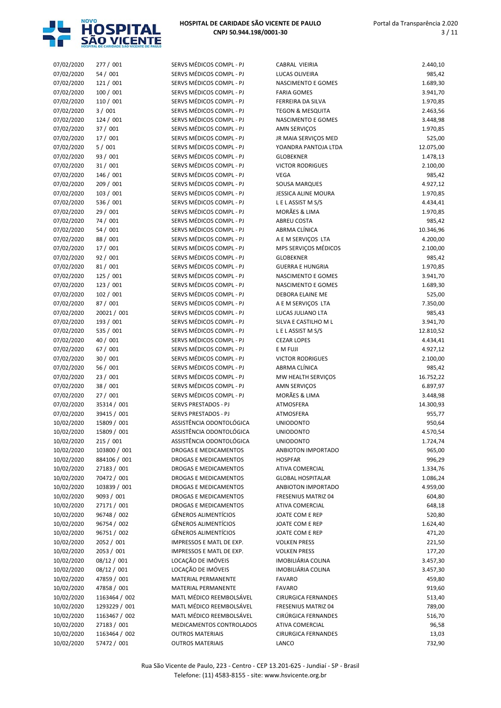

| 07/02/2020 | 277 / 001     | SERVS MÉDICOS COMPL - PJ        | CABRAL VIEIRIA              | 2.440,10  |
|------------|---------------|---------------------------------|-----------------------------|-----------|
| 07/02/2020 | 54 / 001      | SERVS MÉDICOS COMPL - PJ        | LUCAS OLIVEIRA              | 985,42    |
| 07/02/2020 | 121 / 001     | SERVS MÉDICOS COMPL - PJ        | NASCIMENTO E GOMES          | 1.689,30  |
| 07/02/2020 | 100 / 001     | SERVS MÉDICOS COMPL - PJ        | <b>FARIA GOMES</b>          | 3.941,70  |
| 07/02/2020 | 110 / 001     | SERVS MÉDICOS COMPL - PJ        | FERREIRA DA SILVA           | 1.970,85  |
| 07/02/2020 | 3/001         | SERVS MÉDICOS COMPL - PJ        | <b>TEGON &amp; MESQUITA</b> | 2.463,56  |
| 07/02/2020 | 124/001       | SERVS MÉDICOS COMPL - PJ        | NASCIMENTO E GOMES          | 3.448,98  |
| 07/02/2020 | 37 / 001      | SERVS MÉDICOS COMPL - PJ        | AMN SERVIÇOS                | 1.970,85  |
| 07/02/2020 | 17 / 001      | SERVS MÉDICOS COMPL - PJ        | JR MAIA SERVIÇOS MED        | 525,00    |
| 07/02/2020 | 5/001         | SERVS MÉDICOS COMPL - PJ        | YOANDRA PANTOJA LTDA        | 12.075,00 |
| 07/02/2020 | 93 / 001      | SERVS MÉDICOS COMPL - PJ        | <b>GLOBEKNER</b>            | 1.478,13  |
| 07/02/2020 | 31 / 001      | SERVS MÉDICOS COMPL - PJ        | <b>VICTOR RODRIGUES</b>     | 2.100,00  |
| 07/02/2020 | 146 / 001     | SERVS MÉDICOS COMPL - PJ        | VEGA                        | 985,42    |
| 07/02/2020 | 209 / 001     | SERVS MÉDICOS COMPL - PJ        | <b>SOUSA MARQUES</b>        | 4.927,12  |
| 07/02/2020 | 103 / 001     | SERVS MÉDICOS COMPL - PJ        | <b>JESSICA ALINE MOURA</b>  | 1.970,85  |
| 07/02/2020 | 536 / 001     | SERVS MÉDICOS COMPL - PJ        | LELASSIST MS/S              | 4.434,41  |
| 07/02/2020 | 29 / 001      | SERVS MÉDICOS COMPL - PJ        | MORÃES & LIMA               | 1.970,85  |
| 07/02/2020 | 74 / 001      | SERVS MÉDICOS COMPL - PJ        | <b>ABREU COSTA</b>          | 985,42    |
| 07/02/2020 |               | SERVS MÉDICOS COMPL - PJ        | ABRMA CLÍNICA               |           |
|            | 54 / 001      |                                 |                             | 10.346,96 |
| 07/02/2020 | 88 / 001      | SERVS MÉDICOS COMPL - PJ        | A E M SERVIÇOS LTA          | 4.200,00  |
| 07/02/2020 | 17 / 001      | SERVS MÉDICOS COMPL - PJ        | MPS SERVIÇOS MÉDICOS        | 2.100,00  |
| 07/02/2020 | 92 / 001      | SERVS MÉDICOS COMPL - PJ        | <b>GLOBEKNER</b>            | 985,42    |
| 07/02/2020 | 81 / 001      | SERVS MÉDICOS COMPL - PJ        | <b>GUERRA E HUNGRIA</b>     | 1.970,85  |
| 07/02/2020 | 125 / 001     | SERVS MÉDICOS COMPL - PJ        | NASCIMENTO E GOMES          | 3.941,70  |
| 07/02/2020 | 123/001       | SERVS MÉDICOS COMPL - PJ        | <b>NASCIMENTO E GOMES</b>   | 1.689,30  |
| 07/02/2020 | 102 / 001     | SERVS MÉDICOS COMPL - PJ        | <b>DEBORA ELAINE ME</b>     | 525,00    |
| 07/02/2020 | 87 / 001      | SERVS MÉDICOS COMPL - PJ        | A E M SERVIÇOS LTA          | 7.350,00  |
| 07/02/2020 | 20021 / 001   | SERVS MÉDICOS COMPL - PJ        | LUCAS JULIANO LTA           | 985,43    |
| 07/02/2020 | 193 / 001     | SERVS MÉDICOS COMPL - PJ        | SILVA E CASTILHO M L        | 3.941,70  |
| 07/02/2020 | 535 / 001     | SERVS MÉDICOS COMPL - PJ        | LELASSIST MS/S              | 12.810,52 |
| 07/02/2020 | 40 / 001      | SERVS MÉDICOS COMPL - PJ        | <b>CEZAR LOPES</b>          | 4.434,41  |
| 07/02/2020 | 67 / 001      | SERVS MÉDICOS COMPL - PJ        | E M FUJI                    | 4.927,12  |
| 07/02/2020 | 30/001        | SERVS MÉDICOS COMPL - PJ        | <b>VICTOR RODRIGUES</b>     | 2.100,00  |
| 07/02/2020 | 56 / 001      | SERVS MÉDICOS COMPL - PJ        | ABRMA CLÍNICA               | 985,42    |
| 07/02/2020 | 23 / 001      | SERVS MÉDICOS COMPL - PJ        | MW HEALTH SERVIÇOS          | 16.752,22 |
| 07/02/2020 | 38 / 001      | SERVS MÉDICOS COMPL - PJ        | AMN SERVIÇOS                | 6.897,97  |
| 07/02/2020 | 27 / 001      | SERVS MÉDICOS COMPL - PJ        | MORÃES & LIMA               | 3.448,98  |
| 07/02/2020 | 35314 / 001   | SERVS PRESTADOS - PJ            | ATMOSFERA                   | 14.300,93 |
| 07/02/2020 | 39415 / 001   | <b>SERVS PRESTADOS - PJ</b>     | ATMOSFERA                   | 955,77    |
| 10/02/2020 | 15809 / 001   | ASSISTÊNCIA ODONTOLÓGICA        | <b>UNIODONTO</b>            | 950,64    |
| 10/02/2020 | 15809 / 001   | ASSISTÊNCIA ODONTOLÓGICA        | <b>UNIODONTO</b>            | 4.570,54  |
|            |               |                                 |                             |           |
| 10/02/2020 | 215/001       | ASSISTÊNCIA ODONTOLÓGICA        | <b>UNIODONTO</b>            | 1.724,74  |
| 10/02/2020 | 103800 / 001  | DROGAS E MEDICAMENTOS           | ANBIOTON IMPORTADO          | 965,00    |
| 10/02/2020 | 884106 / 001  | <b>DROGAS E MEDICAMENTOS</b>    | <b>HOSPFAR</b>              | 996,29    |
| 10/02/2020 | 27183 / 001   | DROGAS E MEDICAMENTOS           | ATIVA COMERCIAL             | 1.334,76  |
| 10/02/2020 | 70472 / 001   | <b>DROGAS E MEDICAMENTOS</b>    | <b>GLOBAL HOSPITALAR</b>    | 1.086,24  |
| 10/02/2020 | 103839 / 001  | DROGAS E MEDICAMENTOS           | ANBIOTON IMPORTADO          | 4.959,00  |
| 10/02/2020 | 9093 / 001    | DROGAS E MEDICAMENTOS           | <b>FRESENIUS MATRIZ 04</b>  | 604,80    |
| 10/02/2020 | 27171 / 001   | DROGAS E MEDICAMENTOS           | ATIVA COMERCIAL             | 648,18    |
| 10/02/2020 | 96748 / 002   | GÊNEROS ALIMENTÍCIOS            | JOATE COM E REP             | 520,80    |
| 10/02/2020 | 96754 / 002   | GÊNEROS ALIMENTÍCIOS            | JOATE COM E REP             | 1.624,40  |
| 10/02/2020 | 96751 / 002   | GÊNEROS ALIMENTÍCIOS            | JOATE COM E REP             | 471,20    |
| 10/02/2020 | 2052 / 001    | <b>IMPRESSOS E MATL DE EXP.</b> | <b>VOLKEN PRESS</b>         | 221,50    |
| 10/02/2020 | 2053 / 001    | IMPRESSOS E MATL DE EXP.        | <b>VOLKEN PRESS</b>         | 177,20    |
| 10/02/2020 | 08/12 / 001   | LOCAÇÃO DE IMÓVEIS              | IMOBILIÁRIA COLINA          | 3.457,30  |
| 10/02/2020 | 08/12 / 001   | LOCAÇÃO DE IMÓVEIS              | IMOBILIÁRIA COLINA          | 3.457,30  |
| 10/02/2020 | 47859 / 001   | MATERIAL PERMANENTE             | <b>FAVARO</b>               | 459,80    |
| 10/02/2020 | 47858 / 001   | MATERIAL PERMANENTE             | <b>FAVARO</b>               | 919,60    |
| 10/02/2020 | 1163464 / 002 | MATL MÉDICO REEMBOLSÁVEL        | <b>CIRURGICA FERNANDES</b>  | 513,40    |
| 10/02/2020 | 1293229 / 001 | MATL MÉDICO REEMBOLSÁVEL        | FRESENIUS MATRIZ 04         | 789,00    |
| 10/02/2020 | 1163467 / 002 | MATL MÉDICO REEMBOLSÁVEL        | CIRÚRGICA FERNANDES         | 516,70    |
| 10/02/2020 | 27183 / 001   | MEDICAMENTOS CONTROLADOS        | ATIVA COMERCIAL             | 96,58     |
| 10/02/2020 | 1163464 / 002 | <b>OUTROS MATERIAIS</b>         | <b>CIRURGICA FERNANDES</b>  | 13,03     |
| 10/02/2020 | 57472 / 001   | <b>OUTROS MATERIAIS</b>         | LANCO                       | 732,90    |
|            |               |                                 |                             |           |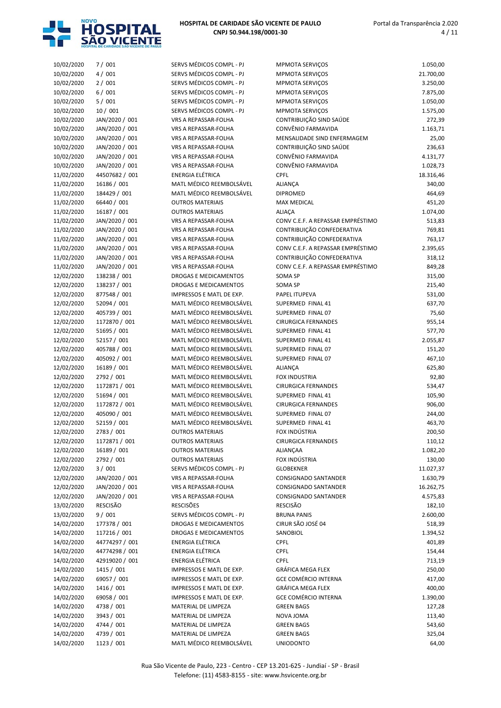

| 10/02/2020 | 7/001          | SERVS MÉDICOS COMPL - PJ        |
|------------|----------------|---------------------------------|
| 10/02/2020 | 4/001          | SERVS MÉDICOS COMPL - PJ        |
| 10/02/2020 | 2/001          | SERVS MÉDICOS COMPL - PJ        |
| 10/02/2020 | 6/001          | SERVS MÉDICOS COMPL - PJ        |
| 10/02/2020 | 5/001          | SERVS MÉDICOS COMPL - PJ        |
| 10/02/2020 | 10 / 001       | SERVS MÉDICOS COMPL - PJ        |
| 10/02/2020 | JAN/2020 / 001 | VRS A REPASSAR-FOLHA            |
| 10/02/2020 | JAN/2020 / 001 | <b>VRS A REPASSAR-FOLHA</b>     |
| 10/02/2020 | JAN/2020 / 001 | <b>VRS A REPASSAR-FOLHA</b>     |
| 10/02/2020 | JAN/2020 / 001 | VRS A REPASSAR-FOLHA            |
| 10/02/2020 | JAN/2020 / 001 | <b>VRS A REPASSAR-FOLHA</b>     |
| 10/02/2020 | JAN/2020 / 001 | <b>VRS A REPASSAR-FOLHA</b>     |
| 11/02/2020 | 44507682 / 001 | ENERGIA ELÉTRICA                |
| 11/02/2020 | 16186 / 001    | MATL MÉDICO REEMBOLSÁVEL        |
| 11/02/2020 | 184429 / 001   | MATL MÉDICO REEMBOLSÁVEL        |
| 11/02/2020 | 66440 / 001    | <b>OUTROS MATERIAIS</b>         |
| 11/02/2020 | 16187 / 001    | <b>OUTROS MATERIAIS</b>         |
| 11/02/2020 | JAN/2020 / 001 | VRS A REPASSAR-FOLHA            |
| 11/02/2020 | JAN/2020 / 001 | <b>VRS A REPASSAR-FOLHA</b>     |
| 11/02/2020 | JAN/2020 / 001 | VRS A REPASSAR-FOLHA            |
| 11/02/2020 | JAN/2020 / 001 | VRS A REPASSAR-FOLHA            |
| 11/02/2020 | JAN/2020 / 001 | <b>VRS A REPASSAR-FOLHA</b>     |
| 11/02/2020 | JAN/2020 / 001 | <b>VRS A REPASSAR-FOLHA</b>     |
| 12/02/2020 | 138238 / 001   | <b>DROGAS E MEDICAMENTOS</b>    |
| 12/02/2020 | 138237 / 001   | <b>DROGAS E MEDICAMENTOS</b>    |
| 12/02/2020 | 877548 / 001   | <b>IMPRESSOS E MATL DE EXP.</b> |
| 12/02/2020 | 52094 / 001    | MATL MÉDICO REEMBOLSÁVEL        |
| 12/02/2020 | 405739 / 001   | MATL MÉDICO REEMBOLSÁVEL        |
| 12/02/2020 | 1172870 / 001  | MATL MÉDICO REEMBOLSÁVEL        |
| 12/02/2020 | 51695 / 001    | MATL MÉDICO REEMBOLSÁVEL        |
| 12/02/2020 | 52157 / 001    | MATL MÉDICO REEMBOLSÁVEL        |
| 12/02/2020 | 405788 / 001   | MATL MÉDICO REEMBOLSÁVEL        |
| 12/02/2020 | 405092 / 001   | MATL MÉDICO REEMBOLSÁVEL        |
| 12/02/2020 | 16189 / 001    | MATL MÉDICO REEMBOLSÁVEL        |
| 12/02/2020 | 2792 / 001     | MATL MÉDICO REEMBOLSÁVEL        |
| 12/02/2020 | 1172871 / 001  | MATL MÉDICO REEMBOLSÁVEL        |
| 12/02/2020 | 51694 / 001    | MATL MÉDICO REEMBOLSÁVEL        |
| 12/02/2020 | 1172872 / 001  | MATL MÉDICO REEMBOLSÁVEL        |
| 12/02/2020 | 405090 / 001   | MATL MÉDICO REEMBOLSÁVEL        |
| 12/02/2020 | 52159 / 001    | MATL MÉDICO REEMBOLSÁVEL        |
| 12/02/2020 | 2783 / 001     | OUTROS MATERIAIS                |
| 12/02/2020 | 1172871 / 001  | <b>OUTROS MATERIAIS</b>         |
| 12/02/2020 | 16189 / 001    | <b>OUTROS MATERIAIS</b>         |
| 12/02/2020 | 2792 / 001     | <b>OUTROS MATERIAIS</b>         |
| 12/02/2020 | 3/001          | SERVS MÉDICOS COMPL - PJ        |
| 12/02/2020 | JAN/2020 / 001 | VRS A REPASSAR-FOLHA            |
| 12/02/2020 | JAN/2020 / 001 | VRS A REPASSAR-FOLHA            |
| 12/02/2020 | JAN/2020 / 001 | <b>VRS A REPASSAR-FOLHA</b>     |
| 13/02/2020 | RESCISÃO       | <b>RESCISÕES</b>                |
| 13/02/2020 | 9/001          | SERVS MÉDICOS COMPL - PJ        |
| 14/02/2020 | 177378 / 001   | <b>DROGAS E MEDICAMENTOS</b>    |
| 14/02/2020 | 117216 / 001   | DROGAS E MEDICAMENTOS           |
| 14/02/2020 | 44774297 / 001 | ENERGIA ELÉTRICA                |
| 14/02/2020 | 44774298 / 001 | ENERGIA ELÉTRICA                |
| 14/02/2020 | 42919020 / 001 | ENERGIA ELÉTRICA                |
| 14/02/2020 | 1415 / 001     | IMPRESSOS E MATL DE EXP.        |
| 14/02/2020 | 69057 / 001    | IMPRESSOS E MATL DE EXP.        |
| 14/02/2020 | 1416 / 001     | IMPRESSOS E MATL DE EXP.        |
| 14/02/2020 | 69058 / 001    | IMPRESSOS E MATL DE EXP.        |
| 14/02/2020 | 4738 / 001     | MATERIAL DE LIMPEZA             |
| 14/02/2020 | 3943 / 001     | MATERIAL DE LIMPEZA             |
| 14/02/2020 | 4744 / 001     | MATERIAL DE LIMPEZA             |

14/02/2020 4739 / 001 MATERIAL DE LIMPEZA 14/02/2020 1123 / 001 MATL MÉDICO REEMBOLSÁVEL

| 10/02/2020 | 7/001                       | SERVS MÉDICOS COMPL - PJ                             | MPMOTA SERVIÇOS                                    | 1.050,00  |
|------------|-----------------------------|------------------------------------------------------|----------------------------------------------------|-----------|
| 10/02/2020 | 4/001                       | SERVS MÉDICOS COMPL - PJ                             | <b>MPMOTA SERVIÇOS</b>                             | 21.700,00 |
| 10/02/2020 | 2/001                       | SERVS MÉDICOS COMPL - PJ                             | <b>MPMOTA SERVIÇOS</b>                             | 3.250,00  |
| 10/02/2020 | 6/001                       | SERVS MÉDICOS COMPL - PJ                             | <b>MPMOTA SERVIÇOS</b>                             | 7.875,00  |
| 10/02/2020 | 5/001                       | SERVS MÉDICOS COMPL - PJ                             | <b>MPMOTA SERVIÇOS</b>                             | 1.050,00  |
| 10/02/2020 | 10/001                      | SERVS MÉDICOS COMPL - PJ                             | <b>MPMOTA SERVIÇOS</b>                             | 1.575,00  |
| 10/02/2020 | JAN/2020 / 001              | VRS A REPASSAR-FOLHA                                 | CONTRIBUIÇÃO SIND SAÚDE                            | 272,39    |
| 10/02/2020 | JAN/2020 / 001              | VRS A REPASSAR-FOLHA                                 | CONVÊNIO FARMAVIDA                                 | 1.163,71  |
| 10/02/2020 | JAN/2020 / 001              | VRS A REPASSAR-FOLHA                                 | MENSALIDADE SIND ENFERMAGEM                        | 25,00     |
| 10/02/2020 | JAN/2020 / 001              | VRS A REPASSAR-FOLHA                                 | CONTRIBUIÇÃO SIND SAÚDE                            | 236,63    |
| 10/02/2020 | JAN/2020 / 001              | VRS A REPASSAR-FOLHA                                 | CONVÊNIO FARMAVIDA                                 | 4.131,77  |
| 10/02/2020 | JAN/2020 / 001              | VRS A REPASSAR-FOLHA                                 | CONVÊNIO FARMAVIDA                                 | 1.028,73  |
| 11/02/2020 | 44507682 / 001              | <b>ENERGIA ELÉTRICA</b>                              | <b>CPFL</b>                                        | 18.316,46 |
| 11/02/2020 | 16186 / 001                 | MATL MÉDICO REEMBOLSÁVEL                             | ALIANÇA                                            | 340,00    |
| 11/02/2020 | 184429 / 001                | MATL MÉDICO REEMBOLSÁVEL                             | <b>DIPROMED</b>                                    | 464,69    |
| 11/02/2020 | 66440 / 001                 | <b>OUTROS MATERIAIS</b>                              | <b>MAX MEDICAL</b>                                 | 451,20    |
| 11/02/2020 | 16187 / 001                 | <b>OUTROS MATERIAIS</b>                              | <b>ALIAÇA</b>                                      | 1.074,00  |
| 11/02/2020 | JAN/2020 / 001              | VRS A REPASSAR-FOLHA                                 | CONV C.E.F. A REPASSAR EMPRÉSTIMO                  | 513,83    |
| 11/02/2020 | JAN/2020 / 001              | VRS A REPASSAR-FOLHA                                 | CONTRIBUIÇÃO CONFEDERATIVA                         | 769,81    |
| 11/02/2020 | JAN/2020 / 001              | VRS A REPASSAR-FOLHA                                 | CONTRIBUIÇÃO CONFEDERATIVA                         | 763,17    |
| 11/02/2020 | JAN/2020 / 001              | <b>VRS A REPASSAR-FOLHA</b>                          | CONV C.E.F. A REPASSAR EMPRÉSTIMO                  | 2.395,65  |
| 11/02/2020 | JAN/2020 / 001              | VRS A REPASSAR-FOLHA                                 | CONTRIBUIÇÃO CONFEDERATIVA                         | 318,12    |
| 11/02/2020 | JAN/2020 / 001              | VRS A REPASSAR-FOLHA                                 | CONV C.E.F. A REPASSAR EMPRÉSTIMO                  | 849,28    |
| 12/02/2020 | 138238 / 001                | <b>DROGAS E MEDICAMENTOS</b>                         | SOMA SP                                            | 315,00    |
| 12/02/2020 | 138237 / 001                | DROGAS E MEDICAMENTOS                                | SOMA SP                                            | 215,40    |
| 12/02/2020 | 877548 / 001                | IMPRESSOS E MATL DE EXP.                             | PAPEL ITUPEVA                                      | 531,00    |
| 12/02/2020 | 52094 / 001                 | MATL MÉDICO REEMBOLSÁVEL                             | SUPERMED FINAL 41                                  | 637,70    |
| 12/02/2020 | 405739 / 001                | MATL MÉDICO REEMBOLSÁVEL                             | SUPERMED FINAL 07                                  | 75,60     |
| 12/02/2020 | 1172870 / 001               | MATL MÉDICO REEMBOLSÁVEL                             | <b>CIRURGICA FERNANDES</b>                         | 955,14    |
| 12/02/2020 | 51695 / 001                 | MATL MÉDICO REEMBOLSÁVEL                             | SUPERMED FINAL 41                                  | 577,70    |
| 12/02/2020 | 52157 / 001                 | MATL MÉDICO REEMBOLSÁVEL                             | SUPERMED FINAL 41                                  | 2.055,87  |
| 12/02/2020 | 405788 / 001                | MATL MÉDICO REEMBOLSÁVEL                             | SUPERMED FINAL 07                                  | 151,20    |
| 12/02/2020 | 405092 / 001                | MATL MÉDICO REEMBOLSÁVEL                             | SUPERMED FINAL 07                                  | 467,10    |
|            |                             | MATL MÉDICO REEMBOLSÁVEL                             |                                                    |           |
| 12/02/2020 | 16189 / 001                 |                                                      | <b>ALIANÇA</b>                                     | 625,80    |
| 12/02/2020 | 2792 / 001<br>1172871 / 001 | MATL MÉDICO REEMBOLSÁVEL                             | <b>FOX INDUSTRIA</b><br><b>CIRURGICA FERNANDES</b> | 92,80     |
| 12/02/2020 | 51694 / 001                 | MATL MÉDICO REEMBOLSÁVEL<br>MATL MÉDICO REEMBOLSÁVEL |                                                    | 534,47    |
| 12/02/2020 |                             | MATL MÉDICO REEMBOLSÁVEL                             | SUPERMED FINAL 41                                  | 105,90    |
| 12/02/2020 | 1172872 / 001               |                                                      | <b>CIRURGICA FERNANDES</b>                         | 906,00    |
| 12/02/2020 | 405090 / 001<br>52159 / 001 | MATL MÉDICO REEMBOLSÁVEL<br>MATL MÉDICO REEMBOLSÁVEL | SUPERMED FINAL 07                                  | 244,00    |
| 12/02/2020 |                             |                                                      | SUPERMED FINAL 41                                  | 463,70    |
| 12/02/2020 | 2783 / 001                  | <b>OUTROS MATERIAIS</b>                              | FOX INDÚSTRIA                                      | 200,50    |
| 12/02/2020 | 1172871 / 001               | <b>OUTROS MATERIAIS</b>                              | <b>CIRURGICA FERNANDES</b>                         | 110,12    |
| 12/02/2020 | 16189 / 001                 | <b>OUTROS MATERIAIS</b>                              | ALIANÇAA                                           | 1.082,20  |
| 12/02/2020 | 2792 / 001                  | <b>OUTROS MATERIAIS</b>                              | FOX INDÚSTRIA                                      | 130,00    |
| 12/02/2020 | 3/001                       | SERVS MÉDICOS COMPL - PJ                             | <b>GLOBEKNER</b>                                   | 11.027,37 |
| 12/02/2020 | JAN/2020 / 001              | VRS A REPASSAR-FOLHA                                 | CONSIGNADO SANTANDER                               | 1.630,79  |
| 12/02/2020 | JAN/2020 / 001              | VRS A REPASSAR-FOLHA                                 | CONSIGNADO SANTANDER                               | 16.262,75 |
| 12/02/2020 | JAN/2020 / 001              | VRS A REPASSAR-FOLHA                                 | CONSIGNADO SANTANDER                               | 4.575,83  |
| 13/02/2020 | RESCISÃO                    | <b>RESCISÕES</b>                                     | <b>RESCISÃO</b>                                    | 182,10    |
| 13/02/2020 | 9/001                       | SERVS MÉDICOS COMPL - PJ                             | <b>BRUNA PANIS</b>                                 | 2.600,00  |
| 14/02/2020 | 177378 / 001                | DROGAS E MEDICAMENTOS                                | CIRUR SÃO JOSÉ 04                                  | 518,39    |
| 14/02/2020 | 117216 / 001                | DROGAS E MEDICAMENTOS                                | SANOBIOL                                           | 1.394,52  |
| 14/02/2020 | 44774297 / 001              | ENERGIA ELÉTRICA                                     | <b>CPFL</b>                                        | 401,89    |
| 14/02/2020 | 44774298 / 001              | ENERGIA ELÉTRICA                                     | <b>CPFL</b>                                        | 154,44    |
| 14/02/2020 | 42919020 / 001              | ENERGIA ELÉTRICA                                     | <b>CPFL</b>                                        | 713,19    |
| 14/02/2020 | 1415 / 001                  | IMPRESSOS E MATL DE EXP.                             | GRÁFICA MEGA FLEX                                  | 250,00    |
| 14/02/2020 | 69057 / 001                 | IMPRESSOS E MATL DE EXP.                             | <b>GCE COMÉRCIO INTERNA</b>                        | 417,00    |
| 14/02/2020 | 1416 / 001                  | IMPRESSOS E MATL DE EXP.                             | GRÁFICA MEGA FLEX                                  | 400,00    |
| 14/02/2020 | 69058 / 001                 | IMPRESSOS E MATL DE EXP.                             | <b>GCE COMÉRCIO INTERNA</b>                        | 1.390,00  |
| 14/02/2020 | 4738 / 001                  | MATERIAL DE LIMPEZA                                  | <b>GREEN BAGS</b>                                  | 127,28    |
| 14/02/2020 | 3943 / 001                  | MATERIAL DE LIMPEZA                                  | NOVA JOMA                                          | 113,40    |
| 14/02/2020 | 4744 / 001                  | MATERIAL DE LIMPEZA                                  | <b>GREEN BAGS</b>                                  | 543,60    |
| 14/02/2020 | 4739 / 001                  | MATERIAL DE LIMPEZA                                  | <b>GREEN BAGS</b>                                  | 325,04    |
| 14/02/2020 | 1123 / 001                  | MATL MÉDICO REEMBOLSÁVEL                             | <b>UNIODONTO</b>                                   | 64,00     |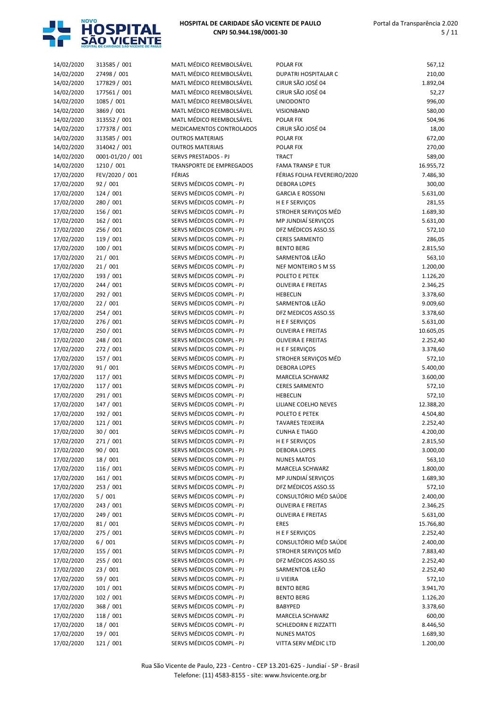

| 14/02/2020 | 313585 / 001     | MATL MÉDICO REEMBOLSÁVEL | POLAR FIX                   | 567,12    |
|------------|------------------|--------------------------|-----------------------------|-----------|
| 14/02/2020 | 27498 / 001      | MATL MÉDICO REEMBOLSÁVEL | <b>DUPATRI HOSPITALAR C</b> | 210,00    |
| 14/02/2020 | 177829 / 001     | MATL MÉDICO REEMBOLSÁVEL | CIRUR SÃO JOSÉ 04           | 1.892,04  |
| 14/02/2020 | 177561 / 001     | MATL MÉDICO REEMBOLSÁVEL | CIRUR SÃO JOSÉ 04           | 52,27     |
| 14/02/2020 | 1085 / 001       | MATL MÉDICO REEMBOLSÁVEL | <b>UNIODONTO</b>            | 996,00    |
| 14/02/2020 | 3869 / 001       | MATL MÉDICO REEMBOLSÁVEL | VISIONBAND                  | 580,00    |
| 14/02/2020 | 313552 / 001     | MATL MÉDICO REEMBOLSÁVEL | POLAR FIX                   | 504,96    |
| 14/02/2020 | 177378 / 001     | MEDICAMENTOS CONTROLADOS | CIRUR SÃO JOSÉ 04           | 18,00     |
| 14/02/2020 | 313585 / 001     | <b>OUTROS MATERIAIS</b>  | POLAR FIX                   | 672,00    |
| 14/02/2020 | 314042 / 001     | <b>OUTROS MATERIAIS</b>  | POLAR FIX                   | 270,00    |
| 14/02/2020 | 0001-01/20 / 001 | SERVS PRESTADOS - PJ     | <b>TRACT</b>                | 589,00    |
| 14/02/2020 | 1210 / 001       | TRANSPORTE DE EMPREGADOS | <b>FAMA TRANSP E TUR</b>    | 16.955,72 |
| 17/02/2020 | FEV/2020 / 001   | FÉRIAS                   | FÉRIAS FOLHA FEVEREIRO/2020 | 7.486,30  |
| 17/02/2020 | 92 / 001         | SERVS MÉDICOS COMPL - PJ | <b>DEBORA LOPES</b>         | 300,00    |
| 17/02/2020 | 124 / 001        | SERVS MÉDICOS COMPL - PJ | <b>GARCIA E ROSSONI</b>     | 5.631,00  |
| 17/02/2020 | 280 / 001        | SERVS MÉDICOS COMPL - PJ | H E F SERVIÇOS              | 281,55    |
| 17/02/2020 | 156 / 001        | SERVS MÉDICOS COMPL - PJ | STROHER SERVIÇOS MÉD        | 1.689,30  |
| 17/02/2020 | 162 / 001        | SERVS MÉDICOS COMPL - PJ | MP JUNDIAÍ SERVIÇOS         | 5.631,00  |
| 17/02/2020 | 256 / 001        | SERVS MÉDICOS COMPL - PJ | DFZ MÉDICOS ASSO.SS         | 572,10    |
| 17/02/2020 | 119 / 001        | SERVS MÉDICOS COMPL - PJ | <b>CERES SARMENTO</b>       | 286,05    |
| 17/02/2020 | 100 / 001        | SERVS MÉDICOS COMPL - PJ | <b>BENTO BERG</b>           | 2.815,50  |
| 17/02/2020 | 21/001           | SERVS MÉDICOS COMPL - PJ | SARMENTO& LEÃO              | 563,10    |
| 17/02/2020 | 21/001           | SERVS MÉDICOS COMPL - PJ | NEF MONTEIRO S M SS         | 1.200,00  |
| 17/02/2020 | 193 / 001        | SERVS MÉDICOS COMPL - PJ | POLETO E PETEK              | 1.126,20  |
| 17/02/2020 | 244 / 001        | SERVS MÉDICOS COMPL - PJ | <b>OLIVEIRA E FREITAS</b>   | 2.346,25  |
| 17/02/2020 | 292 / 001        | SERVS MÉDICOS COMPL - PJ | <b>HEBECLIN</b>             | 3.378,60  |
| 17/02/2020 | 22/001           | SERVS MÉDICOS COMPL - PJ | SARMENTO& LEÃO              | 9.009,60  |
| 17/02/2020 | 254 / 001        | SERVS MÉDICOS COMPL - PJ | DFZ MEDICOS ASSO.SS         | 3.378,60  |
| 17/02/2020 | 276 / 001        | SERVS MÉDICOS COMPL - PJ | H E F SERVIÇOS              | 5.631,00  |
| 17/02/2020 | 250 / 001        | SERVS MÉDICOS COMPL - PJ | <b>OLIVEIRA E FREITAS</b>   | 10.605,05 |
| 17/02/2020 | 248 / 001        | SERVS MÉDICOS COMPL - PJ | <b>OLIVEIRA E FREITAS</b>   | 2.252,40  |
| 17/02/2020 | 272 / 001        | SERVS MÉDICOS COMPL - PJ | H E F SERVIÇOS              | 3.378,60  |
| 17/02/2020 | 157 / 001        | SERVS MÉDICOS COMPL - PJ | STROHER SERVIÇOS MÉD        | 572,10    |
| 17/02/2020 | 91 / 001         | SERVS MÉDICOS COMPL - PJ | <b>DEBORA LOPES</b>         | 5.400,00  |
| 17/02/2020 | 117 / 001        | SERVS MÉDICOS COMPL - PJ | MARCELA SCHWARZ             | 3.600,00  |
| 17/02/2020 | 117 / 001        | SERVS MÉDICOS COMPL - PJ | <b>CERES SARMENTO</b>       | 572,10    |
| 17/02/2020 | 291 / 001        | SERVS MÉDICOS COMPL - PJ | <b>HEBECLIN</b>             | 572,10    |
| 17/02/2020 | 147 / 001        | SERVS MÉDICOS COMPL - PJ | LILIANE COELHO NEVES        | 12.388,20 |
| 17/02/2020 | 192 / 001        | SERVS MÉDICOS COMPL - PJ | POLETO E PETEK              | 4.504,80  |
| 17/02/2020 | 121 / 001        | SERVS MÉDICOS COMPL - PJ | <b>TAVARES TEIXEIRA</b>     | 2.252,40  |
| 17/02/2020 | 30 / 001         | SERVS MÉDICOS COMPL - PJ | <b>CUNHA E TIAGO</b>        | 4.200,00  |
| 17/02/2020 | 271 / 001        | SERVS MÉDICOS COMPL - PJ | H E F SERVIÇOS              | 2.815,50  |
| 17/02/2020 | 90 / 001         | SERVS MÉDICOS COMPL - PJ | <b>DEBORA LOPES</b>         | 3.000,00  |
| 17/02/2020 | 18 / 001         | SERVS MÉDICOS COMPL - PJ | <b>NUNES MATOS</b>          | 563,10    |
| 17/02/2020 | 116 / 001        | SERVS MÉDICOS COMPL - PJ | MARCELA SCHWARZ             | 1.800,00  |
| 17/02/2020 | 161 / 001        | SERVS MÉDICOS COMPL - PJ | MP JUNDIAÍ SERVIÇOS         | 1.689,30  |
| 17/02/2020 | 253 / 001        | SERVS MÉDICOS COMPL - PJ | DFZ MÉDICOS ASSO.SS         | 572,10    |
| 17/02/2020 | 5/001            | SERVS MÉDICOS COMPL - PJ | CONSULTÓRIO MÉD SAÚDE       | 2.400,00  |
| 17/02/2020 | 243 / 001        | SERVS MÉDICOS COMPL - PJ | <b>OLIVEIRA E FREITAS</b>   | 2.346,25  |
| 17/02/2020 | 249 / 001        | SERVS MÉDICOS COMPL - PJ | <b>OLIVEIRA E FREITAS</b>   | 5.631,00  |
| 17/02/2020 | 81/001           | SERVS MÉDICOS COMPL - PJ | <b>ERES</b>                 | 15.766,80 |
| 17/02/2020 | 275 / 001        | SERVS MÉDICOS COMPL - PJ | H E F SERVIÇOS              | 2.252,40  |
| 17/02/2020 | 6/001            | SERVS MÉDICOS COMPL - PJ | CONSULTÓRIO MÉD SAÚDE       | 2.400,00  |
| 17/02/2020 | 155 / 001        | SERVS MÉDICOS COMPL - PJ | STROHER SERVIÇOS MÉD        | 7.883,40  |
| 17/02/2020 | 255 / 001        | SERVS MÉDICOS COMPL - PJ | DFZ MÉDICOS ASSO.SS         | 2.252,40  |
| 17/02/2020 | 23 / 001         | SERVS MÉDICOS COMPL - PJ | SARMENTO& LEÃO              | 2.252,40  |
| 17/02/2020 | 59 / 001         | SERVS MÉDICOS COMPL - PJ | <b>IJ VIEIRA</b>            | 572,10    |
| 17/02/2020 | 101 / 001        | SERVS MÉDICOS COMPL - PJ | <b>BENTO BERG</b>           | 3.941,70  |
| 17/02/2020 | 102 / 001        | SERVS MÉDICOS COMPL - PJ | <b>BENTO BERG</b>           | 1.126,20  |
| 17/02/2020 | 368 / 001        | SERVS MÉDICOS COMPL - PJ | <b>BABYPED</b>              | 3.378,60  |
| 17/02/2020 | 118 / 001        | SERVS MÉDICOS COMPL - PJ | MARCELA SCHWARZ             | 600,00    |
| 17/02/2020 | 18 / 001         | SERVS MÉDICOS COMPL - PJ | SCHLEDORN E RIZZATTI        | 8.446,50  |
| 17/02/2020 | 19 / 001         | SERVS MÉDICOS COMPL - PJ | <b>NUNES MATOS</b>          | 1.689,30  |
| 17/02/2020 | 121 / 001        | SERVS MÉDICOS COMPL - PJ | VITTA SERV MÉDIC LTD        | 1.200,00  |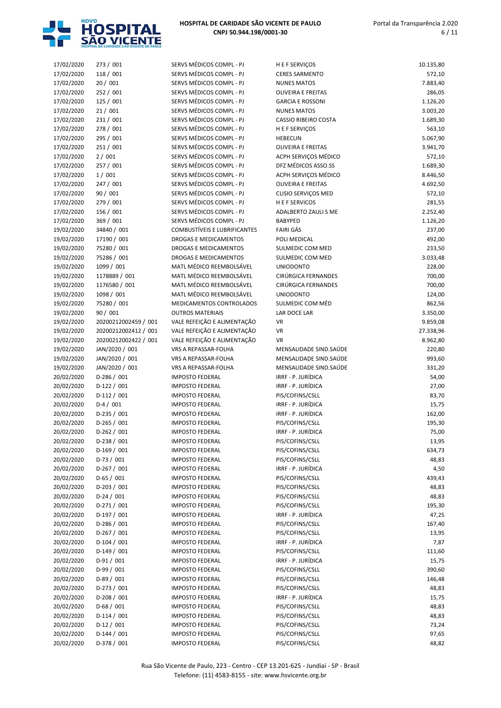

| 17/02/2020 | 273 / 001            | SERVS MÉDICOS COMPL - PJ            | H E F SERVIÇOS              | 10.135,80 |
|------------|----------------------|-------------------------------------|-----------------------------|-----------|
| 17/02/2020 | 118 / 001            | SERVS MÉDICOS COMPL - PJ            | <b>CERES SARMENTO</b>       | 572,10    |
| 17/02/2020 | 20/001               | SERVS MÉDICOS COMPL - PJ            | <b>NUNES MATOS</b>          | 7.883,40  |
| 17/02/2020 | 252 / 001            | SERVS MÉDICOS COMPL - PJ            | <b>OLIVEIRA E FREITAS</b>   | 286,05    |
| 17/02/2020 | 125 / 001            | SERVS MÉDICOS COMPL - PJ            | <b>GARCIA E ROSSONI</b>     | 1.126,20  |
| 17/02/2020 | 21/001               | SERVS MÉDICOS COMPL - PJ            | <b>NUNES MATOS</b>          | 3.003,20  |
| 17/02/2020 | 231 / 001            | SERVS MÉDICOS COMPL - PJ            | <b>CASSIO RIBEIRO COSTA</b> | 1.689,30  |
| 17/02/2020 | 278 / 001            | SERVS MÉDICOS COMPL - PJ            | H E F SERVIÇOS              | 563,10    |
| 17/02/2020 | 295 / 001            | SERVS MÉDICOS COMPL - PJ            | <b>HEBECLIN</b>             | 5.067,90  |
| 17/02/2020 | 251 / 001            | SERVS MÉDICOS COMPL - PJ            | <b>OLIVEIRA E FREITAS</b>   | 3.941,70  |
| 17/02/2020 | 2/001                | SERVS MÉDICOS COMPL - PJ            | ACPH SERVIÇOS MÉDICO        | 572,10    |
|            |                      |                                     |                             |           |
| 17/02/2020 | 257 / 001            | SERVS MÉDICOS COMPL - PJ            | DFZ MÉDICOS ASSO.SS         | 1.689,30  |
| 17/02/2020 | 1/001                | SERVS MÉDICOS COMPL - PJ            | ACPH SERVIÇOS MÉDICO        | 8.446,50  |
| 17/02/2020 | 247 / 001            | SERVS MÉDICOS COMPL - PJ            | <b>OLIVEIRA E FREITAS</b>   | 4.692,50  |
| 17/02/2020 | 90 / 001             | SERVS MÉDICOS COMPL - PJ            | <b>CLISIO SERVIÇOS MED</b>  | 572,10    |
| 17/02/2020 | 279 / 001            | SERVS MÉDICOS COMPL - PJ            | <b>HEFSERVICOS</b>          | 281,55    |
| 17/02/2020 | 156 / 001            | SERVS MÉDICOS COMPL - PJ            | ADALBERTO ZAULI S ME        | 2.252,40  |
| 17/02/2020 | 369 / 001            | SERVS MÉDICOS COMPL - PJ            | <b>BABYPED</b>              | 1.126,20  |
| 19/02/2020 | 34840 / 001          | <b>COMBUSTÍVEIS E LUBRIFICANTES</b> | <b>FAIRI GÁS</b>            | 237,00    |
| 19/02/2020 | 17190 / 001          | <b>DROGAS E MEDICAMENTOS</b>        | POLI MEDICAL                | 492,00    |
| 19/02/2020 | 75280 / 001          | DROGAS E MEDICAMENTOS               | SULMEDIC COM MED            | 233,50    |
| 19/02/2020 | 75286 / 001          | DROGAS E MEDICAMENTOS               | SULMEDIC COM MED            | 3.033,48  |
| 19/02/2020 | 1099 / 001           | MATL MÉDICO REEMBOLSÁVEL            | <b>UNIODONTO</b>            | 228,00    |
| 19/02/2020 | 1178889 / 001        | MATL MÉDICO REEMBOLSÁVEL            | CIRÚRGICA FERNANDES         | 700,00    |
| 19/02/2020 | 1176580 / 001        | MATL MÉDICO REEMBOLSÁVEL            | <b>CIRÚRGICA FERNANDES</b>  | 700,00    |
| 19/02/2020 | 1098 / 001           | MATL MÉDICO REEMBOLSÁVEL            | <b>UNIODONTO</b>            | 124,00    |
| 19/02/2020 | 75280 / 001          | MEDICAMENTOS CONTROLADOS            | SULMEDIC COM MÉD            | 862,56    |
| 19/02/2020 | 90 / 001             | <b>OUTROS MATERIAIS</b>             | LAR DOCE LAR                | 3.350,00  |
| 19/02/2020 | 20200212002459 / 001 | VALE REFEIÇÃO E ALIMENTAÇÃO         | VR                          | 9.859,08  |
| 19/02/2020 | 20200212002412 / 001 | VALE REFEIÇÃO E ALIMENTAÇÃO         | <b>VR</b>                   | 27.338,96 |
| 19/02/2020 | 20200212002422 / 001 | VALE REFEIÇÃO E ALIMENTAÇÃO         | <b>VR</b>                   | 8.962,80  |
| 19/02/2020 | JAN/2020 / 001       | VRS A REPASSAR-FOLHA                | MENSALIDADE SIND.SAÚDE      | 220,80    |
| 19/02/2020 | JAN/2020 / 001       | VRS A REPASSAR-FOLHA                | MENSALIDADE SIND.SAÚDE      | 993,60    |
| 19/02/2020 | JAN/2020 / 001       | VRS A REPASSAR-FOLHA                | MENSALIDADE SIND.SAÚDE      | 331,20    |
| 20/02/2020 | $D-286 / 001$        | <b>IMPOSTO FEDERAL</b>              | IRRF - P. JURÍDICA          | 54,00     |
| 20/02/2020 | $D-122 / 001$        | <b>IMPOSTO FEDERAL</b>              | IRRF - P. JURÍDICA          | 27,00     |
| 20/02/2020 | $D-112/001$          | <b>IMPOSTO FEDERAL</b>              | PIS/COFINS/CSLL             | 83,70     |
| 20/02/2020 | $D-4/001$            | <b>IMPOSTO FEDERAL</b>              | IRRF - P. JURÍDICA          | 15,75     |
| 20/02/2020 | $D-235 / 001$        | <b>IMPOSTO FEDERAL</b>              | IRRF - P. JURÍDICA          | 162,00    |
| 20/02/2020 | D-265 / 001          | <b>IMPOSTO FEDERAL</b>              | PIS/COFINS/CSLL             | 195,30    |
| 20/02/2020 | $D-262 / 001$        | <b>IMPOSTO FEDERAL</b>              | IRRF - P. JURÍDICA          | 75,00     |
| 20/02/2020 | $D-238 / 001$        | <b>IMPOSTO FEDERAL</b>              | PIS/COFINS/CSLL             | 13,95     |
| 20/02/2020 | $D-169/001$          | <b>IMPOSTO FEDERAL</b>              | PIS/COFINS/CSLL             | 634,73    |
| 20/02/2020 | D-73 / 001           | <b>IMPOSTO FEDERAL</b>              | PIS/COFINS/CSLL             | 48,83     |
| 20/02/2020 | $D-267/001$          | <b>IMPOSTO FEDERAL</b>              | IRRF - P. JURÍDICA          | 4,50      |
| 20/02/2020 | $D-65/001$           | <b>IMPOSTO FEDERAL</b>              | PIS/COFINS/CSLL             | 439,43    |
| 20/02/2020 | $D-203 / 001$        | <b>IMPOSTO FEDERAL</b>              | PIS/COFINS/CSLL             | 48,83     |
| 20/02/2020 | $D-24/001$           | <b>IMPOSTO FEDERAL</b>              | PIS/COFINS/CSLL             | 48,83     |
| 20/02/2020 | $D-271/001$          | <b>IMPOSTO FEDERAL</b>              | PIS/COFINS/CSLL             | 195,30    |
| 20/02/2020 | $D-197/001$          | <b>IMPOSTO FEDERAL</b>              | IRRF - P. JURÍDICA          | 47,25     |
|            |                      | <b>IMPOSTO FEDERAL</b>              |                             |           |
| 20/02/2020 | $D-286 / 001$        |                                     | PIS/COFINS/CSLL             | 167,40    |
| 20/02/2020 | $D-267/001$          | <b>IMPOSTO FEDERAL</b>              | PIS/COFINS/CSLL             | 13,95     |
| 20/02/2020 | $D-104/001$          | <b>IMPOSTO FEDERAL</b>              | IRRF - P. JURÍDICA          | 7,87      |
| 20/02/2020 | $D-149/001$          | <b>IMPOSTO FEDERAL</b>              | PIS/COFINS/CSLL             | 111,60    |
| 20/02/2020 | $D-91/001$           | <b>IMPOSTO FEDERAL</b>              | IRRF - P. JURÍDICA          | 15,75     |
| 20/02/2020 | $D-99/001$           | <b>IMPOSTO FEDERAL</b>              | PIS/COFINS/CSLL             | 390,60    |
| 20/02/2020 | $D-89/001$           | <b>IMPOSTO FEDERAL</b>              | PIS/COFINS/CSLL             | 146,48    |
| 20/02/2020 | $D-273 / 001$        | <b>IMPOSTO FEDERAL</b>              | PIS/COFINS/CSLL             | 48,83     |
| 20/02/2020 | $D-208/001$          | <b>IMPOSTO FEDERAL</b>              | IRRF - P. JURÍDICA          | 15,75     |
| 20/02/2020 | $D-68/001$           | <b>IMPOSTO FEDERAL</b>              | PIS/COFINS/CSLL             | 48,83     |
| 20/02/2020 | $D-114/001$          | <b>IMPOSTO FEDERAL</b>              | PIS/COFINS/CSLL             | 48,83     |
| 20/02/2020 | $D-12/001$           | <b>IMPOSTO FEDERAL</b>              | PIS/COFINS/CSLL             | 73,24     |
| 20/02/2020 | $D-144 / 001$        | <b>IMPOSTO FEDERAL</b>              | PIS/COFINS/CSLL             | 97,65     |
| 20/02/2020 | D-378 / 001          | <b>IMPOSTO FEDERAL</b>              | PIS/COFINS/CSLL             | 48,82     |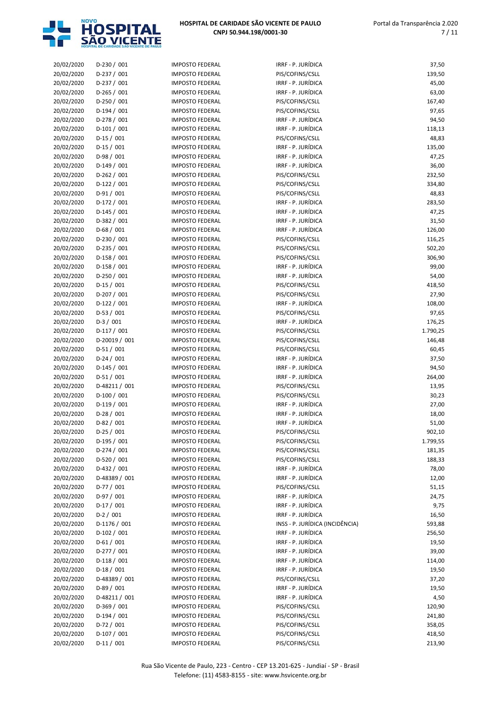

| 20/02/2020 | $D-230 / 001$ | <b>IMPOSTO FEDERAL</b> | IRRF - P. JURÍDICA              | 37,50    |
|------------|---------------|------------------------|---------------------------------|----------|
| 20/02/2020 | $D-237/001$   | <b>IMPOSTO FEDERAL</b> | PIS/COFINS/CSLL                 | 139,50   |
|            |               |                        |                                 |          |
| 20/02/2020 | $D-237/001$   | <b>IMPOSTO FEDERAL</b> | IRRF - P. JURÍDICA              | 45,00    |
| 20/02/2020 | $D-265/001$   | <b>IMPOSTO FEDERAL</b> | IRRF - P. JURÍDICA              | 63,00    |
| 20/02/2020 | $D-250/001$   | <b>IMPOSTO FEDERAL</b> | PIS/COFINS/CSLL                 | 167,40   |
| 20/02/2020 | $D-194/001$   | <b>IMPOSTO FEDERAL</b> | PIS/COFINS/CSLL                 | 97,65    |
| 20/02/2020 | $D-278/001$   | <b>IMPOSTO FEDERAL</b> | IRRF - P. JURÍDICA              | 94,50    |
| 20/02/2020 | $D-101/001$   | <b>IMPOSTO FEDERAL</b> | IRRF - P. JURÍDICA              | 118,13   |
| 20/02/2020 | $D-15/001$    | <b>IMPOSTO FEDERAL</b> | PIS/COFINS/CSLL                 | 48,83    |
| 20/02/2020 | $D-15/001$    | <b>IMPOSTO FEDERAL</b> | IRRF - P. JURÍDICA              | 135,00   |
| 20/02/2020 | $D-98/001$    | <b>IMPOSTO FEDERAL</b> | IRRF - P. JURÍDICA              | 47,25    |
| 20/02/2020 | $D-149/001$   | <b>IMPOSTO FEDERAL</b> | IRRF - P. JURÍDICA              | 36,00    |
|            |               |                        |                                 |          |
| 20/02/2020 | $D-262 / 001$ | <b>IMPOSTO FEDERAL</b> | PIS/COFINS/CSLL                 | 232,50   |
| 20/02/2020 | $D-122 / 001$ | <b>IMPOSTO FEDERAL</b> | PIS/COFINS/CSLL                 | 334,80   |
| 20/02/2020 | $D-91/001$    | <b>IMPOSTO FEDERAL</b> | PIS/COFINS/CSLL                 | 48,83    |
| 20/02/2020 | $D-172/001$   | <b>IMPOSTO FEDERAL</b> | IRRF - P. JURÍDICA              | 283,50   |
| 20/02/2020 | $D-145/001$   | <b>IMPOSTO FEDERAL</b> | IRRF - P. JURÍDICA              | 47,25    |
| 20/02/2020 | $D-382 / 001$ | <b>IMPOSTO FEDERAL</b> | IRRF - P. JURÍDICA              | 31,50    |
| 20/02/2020 | $D-68/001$    | <b>IMPOSTO FEDERAL</b> | IRRF - P. JURÍDICA              | 126,00   |
| 20/02/2020 | $D-230 / 001$ | <b>IMPOSTO FEDERAL</b> | PIS/COFINS/CSLL                 | 116,25   |
| 20/02/2020 | $D-235 / 001$ | <b>IMPOSTO FEDERAL</b> | PIS/COFINS/CSLL                 | 502,20   |
|            | D-158 / 001   | <b>IMPOSTO FEDERAL</b> |                                 |          |
| 20/02/2020 |               |                        | PIS/COFINS/CSLL                 | 306,90   |
| 20/02/2020 | D-158 / 001   | <b>IMPOSTO FEDERAL</b> | IRRF - P. JURÍDICA              | 99,00    |
| 20/02/2020 | $D-250/001$   | <b>IMPOSTO FEDERAL</b> | IRRF - P. JURÍDICA              | 54,00    |
| 20/02/2020 | $D-15/001$    | <b>IMPOSTO FEDERAL</b> | PIS/COFINS/CSLL                 | 418,50   |
| 20/02/2020 | $D-207/001$   | <b>IMPOSTO FEDERAL</b> | PIS/COFINS/CSLL                 | 27,90    |
| 20/02/2020 | $D-122 / 001$ | <b>IMPOSTO FEDERAL</b> | IRRF - P. JURÍDICA              | 108,00   |
| 20/02/2020 | $D-53 / 001$  | <b>IMPOSTO FEDERAL</b> | PIS/COFINS/CSLL                 | 97,65    |
| 20/02/2020 | $D-3/001$     | <b>IMPOSTO FEDERAL</b> | IRRF - P. JURÍDICA              | 176,25   |
| 20/02/2020 | $D-117/001$   | <b>IMPOSTO FEDERAL</b> | PIS/COFINS/CSLL                 | 1.790,25 |
| 20/02/2020 | D-20019 / 001 | <b>IMPOSTO FEDERAL</b> | PIS/COFINS/CSLL                 | 146,48   |
|            |               |                        |                                 |          |
| 20/02/2020 | $D-51/001$    | <b>IMPOSTO FEDERAL</b> | PIS/COFINS/CSLL                 | 60,45    |
| 20/02/2020 | $D-24/001$    | <b>IMPOSTO FEDERAL</b> | IRRF - P. JURÍDICA              | 37,50    |
| 20/02/2020 | $D-145/001$   | <b>IMPOSTO FEDERAL</b> | IRRF - P. JURÍDICA              | 94,50    |
| 20/02/2020 | $D-51/001$    | <b>IMPOSTO FEDERAL</b> | IRRF - P. JURÍDICA              | 264,00   |
| 20/02/2020 | D-48211 / 001 | <b>IMPOSTO FEDERAL</b> | PIS/COFINS/CSLL                 | 13,95    |
| 20/02/2020 | $D-100 / 001$ | <b>IMPOSTO FEDERAL</b> | PIS/COFINS/CSLL                 | 30,23    |
| 20/02/2020 | $D-119/001$   | <b>IMPOSTO FEDERAL</b> | IRRF - P. JURÍDICA              | 27,00    |
| 20/02/2020 | $D-28/001$    | <b>IMPOSTO FEDERAL</b> | IRRF - P. JURÍDICA              | 18,00    |
| 20/02/2020 | $D-82/001$    | <b>IMPOSTO FEDERAL</b> | IRRF - P. JURÍDICA              | 51,00    |
| 20/02/2020 | $D-25/001$    | <b>IMPOSTO FEDERAL</b> | PIS/COFINS/CSLL                 | 902,10   |
| 20/02/2020 | $D-195/001$   | <b>IMPOSTO FEDERAL</b> | PIS/COFINS/CSLL                 | 1.799,55 |
|            |               |                        |                                 |          |
| 20/02/2020 | D-274 / 001   | <b>IMPOSTO FEDERAL</b> | PIS/COFINS/CSLL                 | 181,35   |
| 20/02/2020 | $D-520/001$   | <b>IMPOSTO FEDERAL</b> | PIS/COFINS/CSLL                 | 188,33   |
| 20/02/2020 | D-432 / 001   | <b>IMPOSTO FEDERAL</b> | IRRF - P. JURÍDICA              | 78,00    |
| 20/02/2020 | D-48389 / 001 | <b>IMPOSTO FEDERAL</b> | IRRF - P. JURÍDICA              | 12,00    |
| 20/02/2020 | $D-77/001$    | <b>IMPOSTO FEDERAL</b> | PIS/COFINS/CSLL                 | 51,15    |
| 20/02/2020 | $D-97/001$    | <b>IMPOSTO FEDERAL</b> | IRRF - P. JURÍDICA              | 24,75    |
| 20/02/2020 | $D-17/001$    | <b>IMPOSTO FEDERAL</b> | IRRF - P. JURÍDICA              | 9,75     |
| 20/02/2020 | $D-2 / 001$   | <b>IMPOSTO FEDERAL</b> | IRRF - P. JURÍDICA              | 16,50    |
| 20/02/2020 | D-1176 / 001  | <b>IMPOSTO FEDERAL</b> | INSS - P. JURÍDICA (INCIDÊNCIA) | 593,88   |
| 20/02/2020 | D-102 / 001   | <b>IMPOSTO FEDERAL</b> | IRRF - P. JURÍDICA              | 256,50   |
|            |               |                        |                                 |          |
| 20/02/2020 | $D-61/001$    | <b>IMPOSTO FEDERAL</b> | IRRF - P. JURÍDICA              | 19,50    |
| 20/02/2020 | D-277 / 001   | <b>IMPOSTO FEDERAL</b> | IRRF - P. JURÍDICA              | 39,00    |
| 20/02/2020 | $D-118/001$   | <b>IMPOSTO FEDERAL</b> | IRRF - P. JURÍDICA              | 114,00   |
| 20/02/2020 | $D-18/001$    | <b>IMPOSTO FEDERAL</b> | IRRF - P. JURÍDICA              | 19,50    |
| 20/02/2020 | D-48389 / 001 | <b>IMPOSTO FEDERAL</b> | PIS/COFINS/CSLL                 | 37,20    |
| 20/02/2020 | $D-89/001$    | <b>IMPOSTO FEDERAL</b> | IRRF - P. JURÍDICA              | 19,50    |
| 20/02/2020 | D-48211 / 001 | <b>IMPOSTO FEDERAL</b> | IRRF - P. JURÍDICA              | 4,50     |
| 20/02/2020 | $D-369/001$   | <b>IMPOSTO FEDERAL</b> | PIS/COFINS/CSLL                 | 120,90   |
| 20/02/2020 | $D-194/001$   | <b>IMPOSTO FEDERAL</b> | PIS/COFINS/CSLL                 | 241,80   |
| 20/02/2020 | $D-72/001$    | <b>IMPOSTO FEDERAL</b> | PIS/COFINS/CSLL                 | 358,05   |
|            |               |                        |                                 |          |
| 20/02/2020 | $D-107/001$   | <b>IMPOSTO FEDERAL</b> | PIS/COFINS/CSLL                 | 418,50   |
| 20/02/2020 | $D-11/001$    | <b>IMPOSTO FEDERAL</b> | PIS/COFINS/CSLL                 | 213,90   |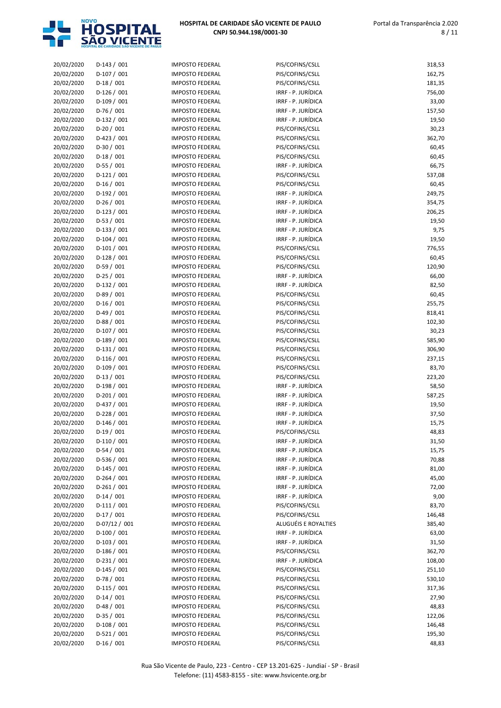

| 20/02/2020               | $D-143 / 001$             | <b>IMPOSTO FEDERAL</b> | PIS/COFINS/CSLL      | 318,53         |
|--------------------------|---------------------------|------------------------|----------------------|----------------|
| 20/02/2020               | $D-107/001$               | <b>IMPOSTO FEDERAL</b> | PIS/COFINS/CSLL      | 162,75         |
| 20/02/2020               | $D-18/001$                | <b>IMPOSTO FEDERAL</b> | PIS/COFINS/CSLL      | 181,35         |
| 20/02/2020               | $D-126/001$               | <b>IMPOSTO FEDERAL</b> | IRRF - P. JURÍDICA   | 756,00         |
| 20/02/2020               | D-109 / 001               | <b>IMPOSTO FEDERAL</b> | IRRF - P. JURÍDICA   | 33,00          |
| 20/02/2020               | D-76 / 001                | <b>IMPOSTO FEDERAL</b> | IRRF - P. JURÍDICA   | 157,50         |
| 20/02/2020               | $D-132 / 001$             | <b>IMPOSTO FEDERAL</b> | IRRF - P. JURÍDICA   | 19,50          |
| 20/02/2020               | $D-20/001$                | <b>IMPOSTO FEDERAL</b> | PIS/COFINS/CSLL      | 30,23          |
| 20/02/2020               | $D-423 / 001$             | <b>IMPOSTO FEDERAL</b> | PIS/COFINS/CSLL      | 362,70         |
| 20/02/2020               | $D-30/001$                | <b>IMPOSTO FEDERAL</b> | PIS/COFINS/CSLL      | 60,45          |
| 20/02/2020               | $D-18/001$                | <b>IMPOSTO FEDERAL</b> | PIS/COFINS/CSLL      | 60,45          |
| 20/02/2020               | $D-55/001$                | <b>IMPOSTO FEDERAL</b> | IRRF - P. JURÍDICA   | 66,75          |
| 20/02/2020               | $D-121/001$               | <b>IMPOSTO FEDERAL</b> | PIS/COFINS/CSLL      | 537,08         |
| 20/02/2020               | $D-16/001$                | <b>IMPOSTO FEDERAL</b> | PIS/COFINS/CSLL      | 60,45          |
| 20/02/2020               | $D-192/001$               | <b>IMPOSTO FEDERAL</b> | IRRF - P. JURÍDICA   | 249,75         |
| 20/02/2020               | $D-26/001$                | <b>IMPOSTO FEDERAL</b> | IRRF - P. JURÍDICA   | 354,75         |
| 20/02/2020               | $D-123 / 001$             | <b>IMPOSTO FEDERAL</b> | IRRF - P. JURÍDICA   | 206,25         |
| 20/02/2020               | $D-53/001$                | <b>IMPOSTO FEDERAL</b> | IRRF - P. JURÍDICA   | 19,50          |
| 20/02/2020               | $D-133 / 001$             | <b>IMPOSTO FEDERAL</b> | IRRF - P. JURÍDICA   | 9,75           |
| 20/02/2020               | $D-104/001$               | <b>IMPOSTO FEDERAL</b> | IRRF - P. JURÍDICA   | 19,50          |
| 20/02/2020               | $D-101/001$               | <b>IMPOSTO FEDERAL</b> | PIS/COFINS/CSLL      | 776,55         |
| 20/02/2020               | $D-128/001$               | <b>IMPOSTO FEDERAL</b> | PIS/COFINS/CSLL      | 60,45          |
| 20/02/2020               | $D-59/001$                | <b>IMPOSTO FEDERAL</b> | PIS/COFINS/CSLL      | 120,90         |
| 20/02/2020               | $D-25/001$                | <b>IMPOSTO FEDERAL</b> | IRRF - P. JURÍDICA   | 66,00          |
| 20/02/2020               | $D-132 / 001$             | <b>IMPOSTO FEDERAL</b> | IRRF - P. JURÍDICA   | 82,50          |
| 20/02/2020               | $D-89/001$                | <b>IMPOSTO FEDERAL</b> | PIS/COFINS/CSLL      | 60,45          |
| 20/02/2020               | $D-16/001$                | <b>IMPOSTO FEDERAL</b> | PIS/COFINS/CSLL      | 255,75         |
| 20/02/2020               | $D-49/001$                | <b>IMPOSTO FEDERAL</b> | PIS/COFINS/CSLL      | 818,41         |
| 20/02/2020               | $D-88/001$                | <b>IMPOSTO FEDERAL</b> | PIS/COFINS/CSLL      | 102,30         |
| 20/02/2020               | $D-107/001$               | <b>IMPOSTO FEDERAL</b> | PIS/COFINS/CSLL      | 30,23          |
| 20/02/2020               | D-189 / 001               | <b>IMPOSTO FEDERAL</b> | PIS/COFINS/CSLL      | 585,90         |
| 20/02/2020               | $D-131/001$               | <b>IMPOSTO FEDERAL</b> | PIS/COFINS/CSLL      | 306,90         |
| 20/02/2020               | $D-116/001$               | <b>IMPOSTO FEDERAL</b> | PIS/COFINS/CSLL      | 237,15         |
| 20/02/2020               | $D-109/001$               | <b>IMPOSTO FEDERAL</b> | PIS/COFINS/CSLL      | 83,70          |
| 20/02/2020               | $D-13/001$                | <b>IMPOSTO FEDERAL</b> | PIS/COFINS/CSLL      | 223,20         |
| 20/02/2020               | $D-198/001$               | <b>IMPOSTO FEDERAL</b> | IRRF - P. JURÍDICA   | 58,50          |
| 20/02/2020               | $D-201/001$               | <b>IMPOSTO FEDERAL</b> | IRRF - P. JURÍDICA   | 587,25         |
| 20/02/2020               | D-437 / 001               | <b>IMPOSTO FEDERAL</b> | IRRF - P. JURÍDICA   | 19,50          |
|                          |                           | <b>IMPOSTO FEDERAL</b> | IRRF - P. JURÍDICA   |                |
| 20/02/2020<br>20/02/2020 | $D-228/001$               | <b>IMPOSTO FEDERAL</b> | IRRF - P. JURÍDICA   | 37,50          |
| 20/02/2020               | $D-146/001$<br>$D-19/001$ | <b>IMPOSTO FEDERAL</b> | PIS/COFINS/CSLL      | 15,75<br>48,83 |
|                          | $D-110/001$               |                        |                      |                |
| 20/02/2020               |                           | <b>IMPOSTO FEDERAL</b> | IRRF - P. JURÍDICA   | 31,50<br>15,75 |
| 20/02/2020               | $D-54/001$                | <b>IMPOSTO FEDERAL</b> | IRRF - P. JURÍDICA   |                |
| 20/02/2020               | $D-536 / 001$             | <b>IMPOSTO FEDERAL</b> | IRRF - P. JURÍDICA   | 70,88          |
| 20/02/2020               | $D-145/001$               | <b>IMPOSTO FEDERAL</b> | IRRF - P. JURÍDICA   | 81,00          |
| 20/02/2020               | $D-264/001$               | <b>IMPOSTO FEDERAL</b> | IRRF - P. JURÍDICA   | 45,00          |
| 20/02/2020               | $D-261/001$               | <b>IMPOSTO FEDERAL</b> | IRRF - P. JURÍDICA   | 72,00          |
| 20/02/2020               | $D-14/001$                | <b>IMPOSTO FEDERAL</b> | IRRF - P. JURÍDICA   | 9,00           |
| 20/02/2020               | $D-111/001$               | <b>IMPOSTO FEDERAL</b> | PIS/COFINS/CSLL      | 83,70          |
| 20/02/2020               | $D-17/001$                | <b>IMPOSTO FEDERAL</b> | PIS/COFINS/CSLL      | 146,48         |
| 20/02/2020               | $D-07/12/001$             | <b>IMPOSTO FEDERAL</b> | ALUGUÉIS E ROYALTIES | 385,40         |
| 20/02/2020               | $D-100 / 001$             | <b>IMPOSTO FEDERAL</b> | IRRF - P. JURÍDICA   | 63,00          |
| 20/02/2020               | $D-103 / 001$             | <b>IMPOSTO FEDERAL</b> | IRRF - P. JURÍDICA   | 31,50          |
| 20/02/2020               | $D-186/001$               | <b>IMPOSTO FEDERAL</b> | PIS/COFINS/CSLL      | 362,70         |
| 20/02/2020               | $D-231/001$               | <b>IMPOSTO FEDERAL</b> | IRRF - P. JURÍDICA   | 108,00         |
| 20/02/2020               | $D-145/001$               | <b>IMPOSTO FEDERAL</b> | PIS/COFINS/CSLL      | 251,10         |
| 20/02/2020               | $D-78/001$                | <b>IMPOSTO FEDERAL</b> | PIS/COFINS/CSLL      | 530,10         |
| 20/02/2020               | $D-115/001$               | <b>IMPOSTO FEDERAL</b> | PIS/COFINS/CSLL      | 317,36         |
| 20/02/2020               | $D-14/001$                | <b>IMPOSTO FEDERAL</b> | PIS/COFINS/CSLL      | 27,90          |
| 20/02/2020               | D-48 / 001                | <b>IMPOSTO FEDERAL</b> | PIS/COFINS/CSLL      | 48,83          |
| 20/02/2020               | $D-35/001$                | <b>IMPOSTO FEDERAL</b> | PIS/COFINS/CSLL      | 122,06         |
| 20/02/2020               | $D-108/001$               | <b>IMPOSTO FEDERAL</b> | PIS/COFINS/CSLL      | 146,48         |
| 20/02/2020               | $D-521/001$               | <b>IMPOSTO FEDERAL</b> | PIS/COFINS/CSLL      | 195,30         |
| 20/02/2020               | $D-16/001$                | <b>IMPOSTO FEDERAL</b> | PIS/COFINS/CSLL      | 48,83          |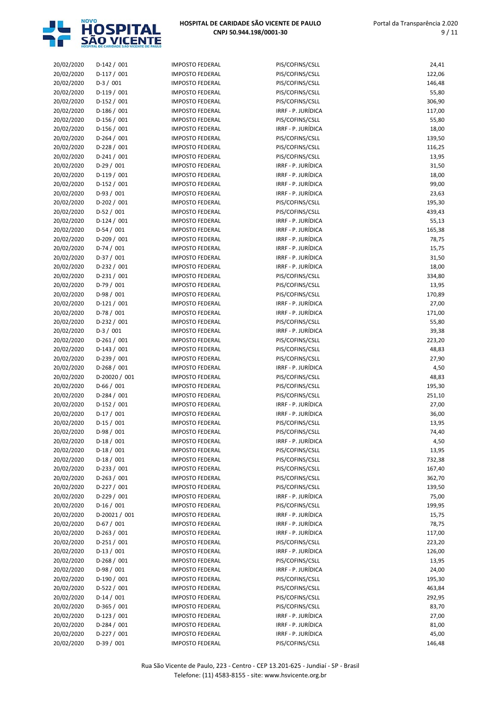

| 20/02/2020 | $D-142 / 001$ | <b>IMPOSTO FEDERAL</b> | PIS/COFINS/CSLL    | 24,41  |
|------------|---------------|------------------------|--------------------|--------|
| 20/02/2020 | $D-117/001$   | <b>IMPOSTO FEDERAL</b> | PIS/COFINS/CSLL    | 122,06 |
| 20/02/2020 | $D-3/001$     | <b>IMPOSTO FEDERAL</b> | PIS/COFINS/CSLL    | 146,48 |
| 20/02/2020 | $D-119/001$   | <b>IMPOSTO FEDERAL</b> | PIS/COFINS/CSLL    | 55,80  |
| 20/02/2020 | $D-152/001$   | <b>IMPOSTO FEDERAL</b> | PIS/COFINS/CSLL    | 306,90 |
| 20/02/2020 | $D-186/001$   | <b>IMPOSTO FEDERAL</b> | IRRF - P. JURÍDICA | 117,00 |
| 20/02/2020 | $D-156/001$   | <b>IMPOSTO FEDERAL</b> | PIS/COFINS/CSLL    | 55,80  |
| 20/02/2020 | $D-156/001$   | <b>IMPOSTO FEDERAL</b> | IRRF - P. JURÍDICA | 18,00  |
| 20/02/2020 | $D-264/001$   | <b>IMPOSTO FEDERAL</b> | PIS/COFINS/CSLL    | 139,50 |
| 20/02/2020 | $D-228/001$   | <b>IMPOSTO FEDERAL</b> | PIS/COFINS/CSLL    | 116,25 |
| 20/02/2020 | $D-241/001$   | <b>IMPOSTO FEDERAL</b> | PIS/COFINS/CSLL    | 13,95  |
| 20/02/2020 | $D-29/001$    | <b>IMPOSTO FEDERAL</b> | IRRF - P. JURÍDICA | 31,50  |
| 20/02/2020 | $D-119/001$   | <b>IMPOSTO FEDERAL</b> | IRRF - P. JURÍDICA | 18,00  |
| 20/02/2020 | $D-152/001$   | <b>IMPOSTO FEDERAL</b> | IRRF - P. JURÍDICA | 99,00  |
| 20/02/2020 | D-93 / 001    | <b>IMPOSTO FEDERAL</b> | IRRF - P. JURÍDICA | 23,63  |
| 20/02/2020 | $D-202 / 001$ | <b>IMPOSTO FEDERAL</b> | PIS/COFINS/CSLL    | 195,30 |
| 20/02/2020 | $D-52/001$    | <b>IMPOSTO FEDERAL</b> | PIS/COFINS/CSLL    | 439,43 |
| 20/02/2020 | $D-124 / 001$ | <b>IMPOSTO FEDERAL</b> | IRRF - P. JURÍDICA | 55,13  |
| 20/02/2020 | $D-54/001$    | <b>IMPOSTO FEDERAL</b> | IRRF - P. JURÍDICA | 165,38 |
| 20/02/2020 | D-209 / 001   | <b>IMPOSTO FEDERAL</b> | IRRF - P. JURÍDICA | 78,75  |
| 20/02/2020 | $D-74/001$    | <b>IMPOSTO FEDERAL</b> | IRRF - P. JURÍDICA | 15,75  |
| 20/02/2020 | $D-37/001$    | <b>IMPOSTO FEDERAL</b> | IRRF - P. JURÍDICA | 31,50  |
| 20/02/2020 | D-232 / 001   | <b>IMPOSTO FEDERAL</b> | IRRF - P. JURÍDICA | 18,00  |
| 20/02/2020 | $D-231/001$   | <b>IMPOSTO FEDERAL</b> | PIS/COFINS/CSLL    | 334,80 |
| 20/02/2020 | $D-79/001$    | <b>IMPOSTO FEDERAL</b> | PIS/COFINS/CSLL    | 13,95  |
| 20/02/2020 | $D-98/001$    | <b>IMPOSTO FEDERAL</b> | PIS/COFINS/CSLL    | 170,89 |
| 20/02/2020 | $D-121/001$   | <b>IMPOSTO FEDERAL</b> | IRRF - P. JURÍDICA | 27,00  |
| 20/02/2020 | $D-78/001$    | <b>IMPOSTO FEDERAL</b> | IRRF - P. JURÍDICA | 171,00 |
| 20/02/2020 | D-232 / 001   | <b>IMPOSTO FEDERAL</b> | PIS/COFINS/CSLL    | 55,80  |
| 20/02/2020 | $D-3/001$     | <b>IMPOSTO FEDERAL</b> | IRRF - P. JURÍDICA | 39,38  |
| 20/02/2020 | $D-261/001$   | <b>IMPOSTO FEDERAL</b> | PIS/COFINS/CSLL    | 223,20 |
| 20/02/2020 | $D-143 / 001$ | <b>IMPOSTO FEDERAL</b> | PIS/COFINS/CSLL    | 48,83  |
| 20/02/2020 | $D-239/001$   | <b>IMPOSTO FEDERAL</b> | PIS/COFINS/CSLL    | 27,90  |
| 20/02/2020 | $D-268/001$   | <b>IMPOSTO FEDERAL</b> | IRRF - P. JURÍDICA | 4,50   |
| 20/02/2020 | D-20020 / 001 | <b>IMPOSTO FEDERAL</b> | PIS/COFINS/CSLL    | 48,83  |
| 20/02/2020 | $D-66/001$    | <b>IMPOSTO FEDERAL</b> | PIS/COFINS/CSLL    | 195,30 |
| 20/02/2020 | $D-284 / 001$ | <b>IMPOSTO FEDERAL</b> | PIS/COFINS/CSLL    | 251,10 |
| 20/02/2020 | $D-152/001$   | <b>IMPOSTO FEDERAL</b> | IRRF - P. JURÍDICA | 27,00  |
| 20/02/2020 | $D-17/001$    | <b>IMPOSTO FEDERAL</b> | IRRF - P. JURÍDICA | 36,00  |
| 20/02/2020 | $D-15/001$    | <b>IMPOSTO FEDERAL</b> | PIS/COFINS/CSLL    | 13,95  |
| 20/02/2020 | D-98 / 001    | <b>IMPOSTO FEDERAL</b> | PIS/COFINS/CSLL    | 74,40  |
|            |               |                        |                    |        |
| 20/02/2020 | $D-18/001$    | <b>IMPOSTO FEDERAL</b> | IRRF - P. JURÍDICA | 4,50   |
| 20/02/2020 | $D-18/001$    | <b>IMPOSTO FEDERAL</b> | PIS/COFINS/CSLL    | 13,95  |
| 20/02/2020 | $D-18/001$    | <b>IMPOSTO FEDERAL</b> | PIS/COFINS/CSLL    | 732,38 |
| 20/02/2020 | $D-233 / 001$ | <b>IMPOSTO FEDERAL</b> | PIS/COFINS/CSLL    | 167,40 |
| 20/02/2020 | $D-263/001$   | <b>IMPOSTO FEDERAL</b> | PIS/COFINS/CSLL    | 362,70 |
| 20/02/2020 | $D-227/001$   | <b>IMPOSTO FEDERAL</b> | PIS/COFINS/CSLL    | 139,50 |
| 20/02/2020 | D-229 / 001   | <b>IMPOSTO FEDERAL</b> | IRRF - P. JURÍDICA | 75,00  |
| 20/02/2020 | $D-16/001$    | <b>IMPOSTO FEDERAL</b> | PIS/COFINS/CSLL    | 199,95 |
| 20/02/2020 | D-20021 / 001 | <b>IMPOSTO FEDERAL</b> | IRRF - P. JURÍDICA | 15,75  |
| 20/02/2020 | D-67 / 001    | <b>IMPOSTO FEDERAL</b> | IRRF - P. JURÍDICA | 78,75  |
| 20/02/2020 | D-263 / 001   | <b>IMPOSTO FEDERAL</b> | IRRF - P. JURÍDICA | 117,00 |
| 20/02/2020 | $D-251/001$   | <b>IMPOSTO FEDERAL</b> | PIS/COFINS/CSLL    | 223,20 |
| 20/02/2020 | $D-13/001$    | <b>IMPOSTO FEDERAL</b> | IRRF - P. JURÍDICA | 126,00 |
| 20/02/2020 | $D-268/001$   | <b>IMPOSTO FEDERAL</b> | PIS/COFINS/CSLL    | 13,95  |
| 20/02/2020 | D-98 / 001    | <b>IMPOSTO FEDERAL</b> | IRRF - P. JURÍDICA | 24,00  |
| 20/02/2020 | D-190 / 001   | <b>IMPOSTO FEDERAL</b> | PIS/COFINS/CSLL    | 195,30 |
| 20/02/2020 | D-522 / 001   | <b>IMPOSTO FEDERAL</b> | PIS/COFINS/CSLL    | 463,84 |
| 20/02/2020 | $D-14/001$    | <b>IMPOSTO FEDERAL</b> | PIS/COFINS/CSLL    | 292,95 |
| 20/02/2020 | $D-365/001$   | <b>IMPOSTO FEDERAL</b> | PIS/COFINS/CSLL    | 83,70  |
| 20/02/2020 | $D-123/001$   | <b>IMPOSTO FEDERAL</b> | IRRF - P. JURÍDICA | 27,00  |
| 20/02/2020 | $D-284/001$   | <b>IMPOSTO FEDERAL</b> | IRRF - P. JURÍDICA | 81,00  |
| 20/02/2020 | $D-227/001$   | <b>IMPOSTO FEDERAL</b> | IRRF - P. JURÍDICA | 45,00  |

20/02/2020 D-39 / 001 IMPOSTO FEDERAL PIS/COFINS/CSLL PIS/COFINS/CSLL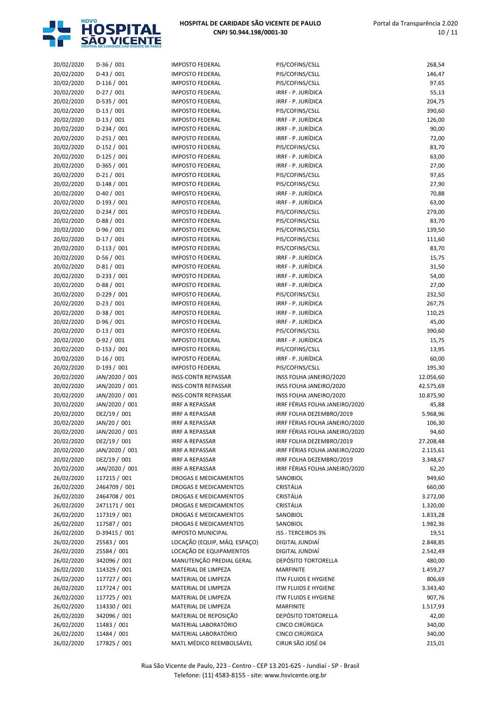

| 20/02/2020 | $D-36/001$                  | <b>IMPOSTO FEDERAL</b>                           | PIS/COFINS/CSLL                | 268,54          |
|------------|-----------------------------|--------------------------------------------------|--------------------------------|-----------------|
| 20/02/2020 | $D-43 / 001$                | <b>IMPOSTO FEDERAL</b>                           | PIS/COFINS/CSLL                | 146,47          |
| 20/02/2020 | $D-116/001$                 | <b>IMPOSTO FEDERAL</b>                           | PIS/COFINS/CSLL                | 97,65           |
| 20/02/2020 | $D-27/001$                  | <b>IMPOSTO FEDERAL</b>                           | IRRF - P. JURÍDICA             | 55,13           |
| 20/02/2020 | D-535 / 001                 | <b>IMPOSTO FEDERAL</b>                           | IRRF - P. JURÍDICA             | 204,75          |
| 20/02/2020 | $D-13/001$                  | <b>IMPOSTO FEDERAL</b>                           | PIS/COFINS/CSLL                | 390,60          |
| 20/02/2020 | $D-13/001$                  | <b>IMPOSTO FEDERAL</b>                           | IRRF - P. JURÍDICA             | 126,00          |
| 20/02/2020 | $D-234 / 001$               | <b>IMPOSTO FEDERAL</b>                           | IRRF - P. JURÍDICA             | 90,00           |
| 20/02/2020 | $D-251/001$                 | <b>IMPOSTO FEDERAL</b>                           | IRRF - P. JURÍDICA             | 72,00           |
| 20/02/2020 | $D-152/001$                 | <b>IMPOSTO FEDERAL</b>                           | PIS/COFINS/CSLL                | 83,70           |
| 20/02/2020 | $D-125/001$                 | <b>IMPOSTO FEDERAL</b>                           | IRRF - P. JURÍDICA             | 63,00           |
| 20/02/2020 | $D-365/001$                 | <b>IMPOSTO FEDERAL</b>                           | IRRF - P. JURÍDICA             | 27,00           |
| 20/02/2020 | $D-21/001$                  | <b>IMPOSTO FEDERAL</b>                           | PIS/COFINS/CSLL                | 97,65           |
| 20/02/2020 | $D-148/001$                 | <b>IMPOSTO FEDERAL</b>                           | PIS/COFINS/CSLL                | 27,90           |
| 20/02/2020 | D-40 / 001                  | <b>IMPOSTO FEDERAL</b>                           | IRRF - P. JURÍDICA             | 70,88           |
| 20/02/2020 | $D-193/001$                 | <b>IMPOSTO FEDERAL</b>                           | IRRF - P. JURÍDICA             | 63,00           |
| 20/02/2020 | $D-234 / 001$               | <b>IMPOSTO FEDERAL</b>                           | PIS/COFINS/CSLL                | 279,00          |
| 20/02/2020 | $D-88/001$                  | <b>IMPOSTO FEDERAL</b>                           | PIS/COFINS/CSLL                | 83,70           |
| 20/02/2020 | D-96 / 001                  | <b>IMPOSTO FEDERAL</b>                           | PIS/COFINS/CSLL                | 139,50          |
| 20/02/2020 | $D-17/001$                  | <b>IMPOSTO FEDERAL</b>                           | PIS/COFINS/CSLL                | 111,60          |
| 20/02/2020 | $D-113/001$                 | <b>IMPOSTO FEDERAL</b>                           | PIS/COFINS/CSLL                | 83,70           |
| 20/02/2020 | $D-56/001$                  | <b>IMPOSTO FEDERAL</b>                           | IRRF - P. JURÍDICA             | 15,75           |
| 20/02/2020 | $D-81/001$                  | <b>IMPOSTO FEDERAL</b>                           | IRRF - P. JURÍDICA             | 31,50           |
| 20/02/2020 | $D-233 / 001$               | <b>IMPOSTO FEDERAL</b>                           | IRRF - P. JURÍDICA             | 54,00           |
| 20/02/2020 | $D-88/001$                  | <b>IMPOSTO FEDERAL</b>                           | IRRF - P. JURÍDICA             | 27,00           |
| 20/02/2020 | $D-229/001$                 | <b>IMPOSTO FEDERAL</b>                           | PIS/COFINS/CSLL                | 232,50          |
|            | $D-23/001$                  |                                                  | IRRF - P. JURÍDICA             | 267,75          |
| 20/02/2020 | $D-38/001$                  | <b>IMPOSTO FEDERAL</b>                           | IRRF - P. JURÍDICA             |                 |
| 20/02/2020 | D-96 / 001                  | <b>IMPOSTO FEDERAL</b>                           | IRRF - P. JURÍDICA             | 110,25          |
| 20/02/2020 |                             | <b>IMPOSTO FEDERAL</b><br><b>IMPOSTO FEDERAL</b> |                                | 45,00<br>390,60 |
| 20/02/2020 | $D-13/001$                  |                                                  | PIS/COFINS/CSLL                |                 |
| 20/02/2020 | $D-92/001$                  | <b>IMPOSTO FEDERAL</b>                           | IRRF - P. JURÍDICA             | 15,75           |
| 20/02/2020 | $D-153 / 001$<br>$D-16/001$ | <b>IMPOSTO FEDERAL</b>                           | PIS/COFINS/CSLL                | 13,95           |
| 20/02/2020 |                             | <b>IMPOSTO FEDERAL</b>                           | IRRF - P. JURÍDICA             | 60,00           |
| 20/02/2020 | $D-193/001$                 | <b>IMPOSTO FEDERAL</b>                           | PIS/COFINS/CSLL                | 195,30          |
| 20/02/2020 | JAN/2020 / 001              | <b>INSS-CONTR REPASSAR</b>                       | INSS FOLHA JANEIRO/2020        | 12.056,60       |
| 20/02/2020 | JAN/2020 / 001              | <b>INSS-CONTR REPASSAR</b>                       | INSS FOLHA JANEIRO/2020        | 42.575,69       |
| 20/02/2020 | JAN/2020 / 001              | <b>INSS-CONTR REPASSAR</b>                       | INSS FOLHA JANEIRO/2020        | 10.875,90       |
| 20/02/2020 | JAN/2020 / 001              | <b>IRRF A REPASSAR</b>                           | IRRF FÉRIAS FOLHA JANEIRO/2020 | 45,88           |
| 20/02/2020 | DEZ/19 / 001                | <b>IRRF A REPASSAR</b>                           | IRRF FOLHA DEZEMBRO/2019       | 5.968,96        |
| 20/02/2020 | JAN/20 / 001                | <b>IRRF A REPASSAR</b>                           | IRRF FÉRIAS FOLHA JANEIRO/2020 | 106,30          |
| 20/02/2020 | JAN/2020 / 001              | <b>IRRF A REPASSAR</b>                           | IRRF FÉRIAS FOLHA JANEIRO/2020 | 94,60           |
| 20/02/2020 | DEZ/19 / 001                | <b>IRRF A REPASSAR</b>                           | IRRF FOLHA DEZEMBRO/2019       | 27.208,48       |
| 20/02/2020 | JAN/2020 / 001              | <b>IRRF A REPASSAR</b>                           | IRRF FÉRIAS FOLHA JANEIRO/2020 | 2.115,61        |
| 20/02/2020 | DEZ/19 / 001                | <b>IRRF A REPASSAR</b>                           | IRRF FOLHA DEZEMBRO/2019       | 3.348,67        |
| 20/02/2020 | JAN/2020 / 001              | <b>IRRF A REPASSAR</b>                           | IRRF FÉRIAS FOLHA JANEIRO/2020 | 62,20           |
| 26/02/2020 | 117215 / 001                | <b>DROGAS E MEDICAMENTOS</b>                     | SANOBIOL                       | 949,60          |
| 26/02/2020 | 2464709 / 001               | DROGAS E MEDICAMENTOS                            | CRISTÁLIA                      | 660,00          |
| 26/02/2020 | 2464708 / 001               | DROGAS E MEDICAMENTOS                            | CRISTÁLIA                      | 3.272,00        |
| 26/02/2020 | 2471171 / 001               | <b>DROGAS E MEDICAMENTOS</b>                     | CRISTÁLIA                      | 1.320,00        |
| 26/02/2020 | 117319 / 001                | DROGAS E MEDICAMENTOS                            | SANOBIOL                       | 1.833,28        |
| 26/02/2020 | 117587 / 001                | DROGAS E MEDICAMENTOS                            | SANOBIOL                       | 1.982,36        |
| 26/02/2020 | D-39415 / 001               | <b>IMPOSTO MUNICIPAL</b>                         | ISS - TERCEIROS 3%             | 19,51           |
| 26/02/2020 | 25583 / 001                 | LOCAÇÃO (EQUIP, MÁQ. ESPAÇO)                     | DIGITAL JUNDIAÍ                | 2.848,85        |
| 26/02/2020 | 25584 / 001                 | LOCAÇÃO DE EQUIPAMENTOS                          | DIGITAL JUNDIAÍ                | 2.542,49        |
| 26/02/2020 | 342096 / 001                | MANUTENÇÃO PREDIAL GERAL                         | <b>DEPÓSITO TORTORELLA</b>     | 480,00          |
| 26/02/2020 | 114329 / 001                | MATERIAL DE LIMPEZA                              | <b>MARFINITE</b>               | 1.459,27        |
| 26/02/2020 | 117727 / 001                | MATERIAL DE LIMPEZA                              | <b>ITW FLUIDS E HYGIENE</b>    | 806,69          |
| 26/02/2020 | 117724 / 001                | MATERIAL DE LIMPEZA                              | <b>ITW FLUIDS E HYGIENE</b>    | 3.343,40        |
| 26/02/2020 | 117725 / 001                | MATERIAL DE LIMPEZA                              | <b>ITW FLUIDS E HYGIENE</b>    | 907,76          |
| 26/02/2020 | 114330 / 001                | MATERIAL DE LIMPEZA                              | <b>MARFINITE</b>               | 1.517,93        |
| 26/02/2020 | 342096 / 001                | MATERIAL DE REPOSIÇÃO                            | DEPÓSITO TORTORELLA            | 42,00           |
| 26/02/2020 | 11483 / 001                 | MATERIAL LABORATÓRIO                             | CINCO CIRÚRGICA                | 340,00          |
| 26/02/2020 | 11484 / 001                 | MATERIAL LABORATÓRIO                             | CINCO CIRÚRGICA                | 340,00          |
| 26/02/2020 | 177825 / 001                | MATL MÉDICO REEMBOLSÁVEL                         | CIRUR SÃO JOSÉ 04              | 215,01          |